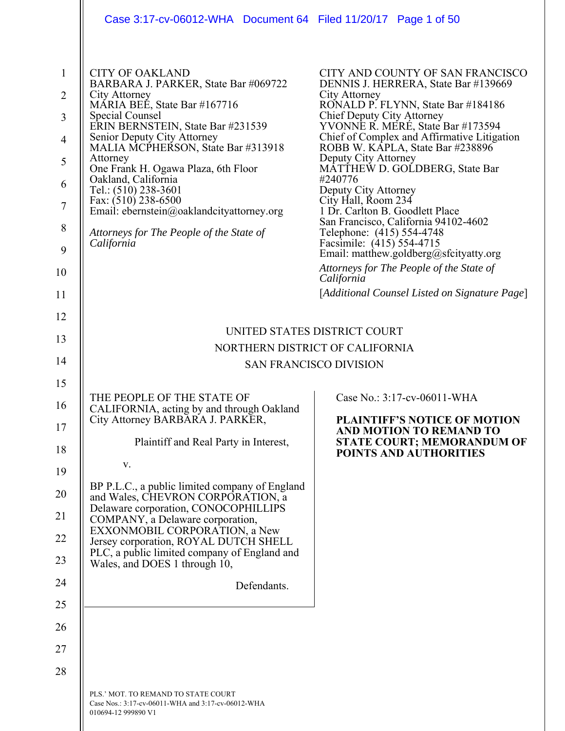|                                                                                                       | Case 3:17-cv-06012-WHA Document 64 Filed 11/20/17 Page 1 of 50                                                                                                                                                                                                                                                                                                                                                                                                                                          |                                                                                                                                                                                                                                                                                                                                                                                                                                                                                                                                                                                                                                                                                                     |  |
|-------------------------------------------------------------------------------------------------------|---------------------------------------------------------------------------------------------------------------------------------------------------------------------------------------------------------------------------------------------------------------------------------------------------------------------------------------------------------------------------------------------------------------------------------------------------------------------------------------------------------|-----------------------------------------------------------------------------------------------------------------------------------------------------------------------------------------------------------------------------------------------------------------------------------------------------------------------------------------------------------------------------------------------------------------------------------------------------------------------------------------------------------------------------------------------------------------------------------------------------------------------------------------------------------------------------------------------------|--|
| $\mathbf{1}$<br>$\overline{2}$<br>3<br>$\overline{4}$<br>5<br>6<br>$\tau$<br>$\,8\,$<br>9<br>10<br>11 | <b>CITY OF OAKLAND</b><br>BARBARA J. PARKER, State Bar #069722<br>City Attorney<br>MÁRIA BEÉ, State Bar #167716<br><b>Special Counsel</b><br>ERIN BERNSTEIN, State Bar #231539<br>Senior Deputy City Attorney<br>MALIA MCPHERSON, State Bar #313918<br>Attorney<br>One Frank H. Ogawa Plaza, 6th Floor<br>Oakland, California<br>Tel.: (510) 238-3601<br>Fax: (510) 238-6500<br>Email: ebernstein@oaklandcityattorney.org<br>Attorneys for The People of the State of<br>California                     | CITY AND COUNTY OF SAN FRANCISCO<br>DENNIS J. HERRERA, State Bar #139669<br>City Attorney<br>RONALD P. FLYNN, State Bar #184186<br>Chief Deputy City Attorney<br>YVONNE R. MERE, State Bar #173594<br>Chief of Complex and Affirmative Litigation<br>ROBB W. KAPLA, State Bar #238896<br>Deputy City Attorney<br>MATTHEW D. GOLDBERG, State Bar<br>#240776<br>Deputy City Attorney<br>City Hall, Room 234<br>1 Dr. Carlton B. Goodlett Place<br>San Francisco, California 94102-4602<br>Telephone: (415) 554-4748<br>Facsimile: (415) 554-4715<br>Email: matthew.goldberg@sfcityatty.org<br>Attorneys for The People of the State of<br>California<br>[Additional Counsel Listed on Signature Page] |  |
|                                                                                                       |                                                                                                                                                                                                                                                                                                                                                                                                                                                                                                         |                                                                                                                                                                                                                                                                                                                                                                                                                                                                                                                                                                                                                                                                                                     |  |
| 12                                                                                                    |                                                                                                                                                                                                                                                                                                                                                                                                                                                                                                         | UNITED STATES DISTRICT COURT                                                                                                                                                                                                                                                                                                                                                                                                                                                                                                                                                                                                                                                                        |  |
| 13                                                                                                    | NORTHERN DISTRICT OF CALIFORNIA                                                                                                                                                                                                                                                                                                                                                                                                                                                                         |                                                                                                                                                                                                                                                                                                                                                                                                                                                                                                                                                                                                                                                                                                     |  |
| 14                                                                                                    | <b>SAN FRANCISCO DIVISION</b>                                                                                                                                                                                                                                                                                                                                                                                                                                                                           |                                                                                                                                                                                                                                                                                                                                                                                                                                                                                                                                                                                                                                                                                                     |  |
| 15<br>16<br>17<br>18<br>19<br>20<br>21<br>22<br>23<br>24<br>25<br>26<br>27<br>28                      | THE PEOPLE OF THE STATE OF<br>CALIFORNIA, acting by and through Oakland<br>City Attorney BARBARA J. PARKER,<br>Plaintiff and Real Party in Interest,<br>V.<br>BP P.L.C., a public limited company of England<br>and Wales, CHEVRON CORPORATION, a<br>Delaware corporation, CONOCOPHILLIPS<br>COMPANY, a Delaware corporation,<br>EXXONMOBIL CORPORATION, a New<br>Jersey corporation, ROYAL DUTCH SHELL<br>PLC, a public limited company of England and<br>Wales, and DOES 1 through 10,<br>Defendants. | Case No.: 3:17-cv-06011-WHA<br><b>PLAINTIFF'S NOTICE OF MOTION</b><br>AND MOTION TO REMAND TO<br><b>STATE COURT; MEMORANDUM OF</b><br>POINTS AND AUTHORITIES                                                                                                                                                                                                                                                                                                                                                                                                                                                                                                                                        |  |
|                                                                                                       | PLS.' MOT. TO REMAND TO STATE COURT<br>Case Nos.: 3:17-cv-06011-WHA and 3:17-cv-06012-WHA<br>010694-12 999890 V1                                                                                                                                                                                                                                                                                                                                                                                        |                                                                                                                                                                                                                                                                                                                                                                                                                                                                                                                                                                                                                                                                                                     |  |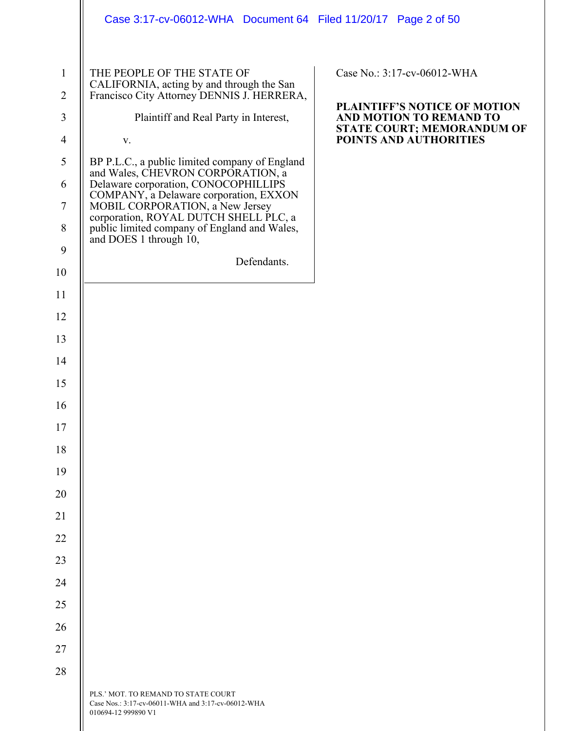|                                | Case 3:17-cv-06012-WHA Document 64 Filed 11/20/17 Page 2 of 50                                                        |                                                             |
|--------------------------------|-----------------------------------------------------------------------------------------------------------------------|-------------------------------------------------------------|
| $\mathbf{1}$<br>$\overline{2}$ | THE PEOPLE OF THE STATE OF<br>CALIFORNIA, acting by and through the San<br>Francisco City Attorney DENNIS J. HERRERA, | Case No.: 3:17-cv-06012-WHA<br>PLAINTIFF'S NOTICE OF MOTION |
| 3                              | Plaintiff and Real Party in Interest,                                                                                 | AND MOTION TO REMAND TO<br>STATE COURT; MEMORANDUM OF       |
| $\overline{4}$                 | v.                                                                                                                    | POINTS AND AUTHORITIES                                      |
| $\mathfrak{S}$                 | BP P.L.C., a public limited company of England<br>and Wales, CHEVRON CORPORATION, a                                   |                                                             |
| 6                              | Delaware corporation, CONOCOPHILLIPS<br>COMPANY, a Delaware corporation, EXXON                                        |                                                             |
| $\tau$                         | MOBIL CORPORATION, a New Jersey<br>corporation, ROYAL DUTCH SHELL PLC, a                                              |                                                             |
| $8\,$                          | public limited company of England and Wales,<br>and DOES 1 through 10,                                                |                                                             |
| $\mathbf{9}$                   | Defendants.                                                                                                           |                                                             |
| 10                             |                                                                                                                       |                                                             |
| 11                             |                                                                                                                       |                                                             |
| 12                             |                                                                                                                       |                                                             |
| 13                             |                                                                                                                       |                                                             |
| 14                             |                                                                                                                       |                                                             |
| 15                             |                                                                                                                       |                                                             |
| 16                             |                                                                                                                       |                                                             |
| 17                             |                                                                                                                       |                                                             |
| 18                             |                                                                                                                       |                                                             |
| 19                             |                                                                                                                       |                                                             |
| 20                             |                                                                                                                       |                                                             |
| 21                             |                                                                                                                       |                                                             |
| 22                             |                                                                                                                       |                                                             |
| 23                             |                                                                                                                       |                                                             |
| 24                             |                                                                                                                       |                                                             |
| 25                             |                                                                                                                       |                                                             |
| 26                             |                                                                                                                       |                                                             |
| 27                             |                                                                                                                       |                                                             |
| 28                             |                                                                                                                       |                                                             |
|                                | PLS.' MOT. TO REMAND TO STATE COURT<br>Case Nos.: 3:17-cv-06011-WHA and 3:17-cv-06012-WHA<br>010694-12 999890 V1      |                                                             |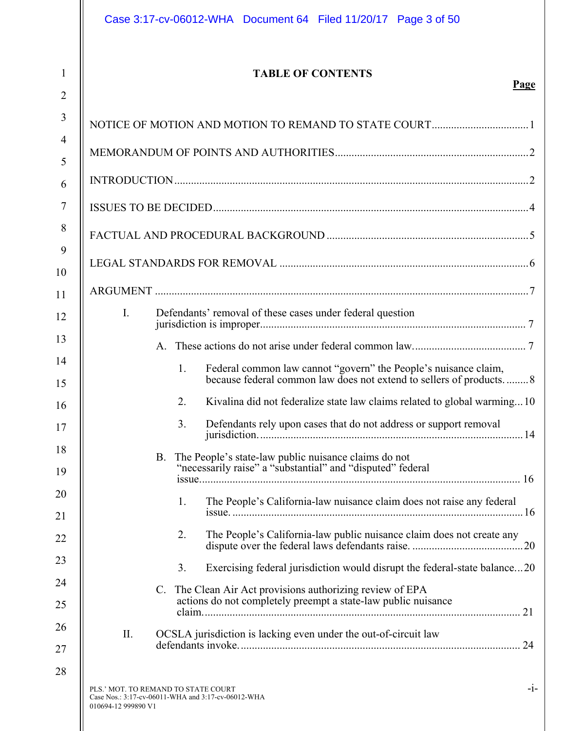$\parallel$ 

# **TABLE OF CONTENTS**

### **Page**

| $\overline{2}$ |                                                                                                                  |       |
|----------------|------------------------------------------------------------------------------------------------------------------|-------|
| 3              |                                                                                                                  |       |
| $\overline{4}$ |                                                                                                                  |       |
| 5              |                                                                                                                  |       |
| 6              |                                                                                                                  |       |
| 7              |                                                                                                                  |       |
| 8              |                                                                                                                  |       |
| 9              |                                                                                                                  |       |
| 10             |                                                                                                                  |       |
| 11             |                                                                                                                  |       |
| 12             | $\mathbf{I}$ .<br>Defendants' removal of these cases under federal question                                      |       |
| 13             |                                                                                                                  |       |
| 14             | 1.<br>Federal common law cannot "govern" the People's nuisance claim,                                            |       |
| 15             | because federal common law does not extend to sellers of products8                                               |       |
| 16             | 2.<br>Kivalina did not federalize state law claims related to global warming10                                   |       |
| 17             | 3.<br>Defendants rely upon cases that do not address or support removal                                          |       |
| 18             | <b>B.</b><br>The People's state-law public nuisance claims do not                                                |       |
| 19             | "necessarily raise" a "substantial" and "disputed" federal                                                       |       |
| 20             | 1. The People's California-law nuisance claim does not raise any federal                                         |       |
| 21             |                                                                                                                  |       |
| 22             | 2.<br>The People's California-law public nuisance claim does not create any                                      |       |
| 23             | Exercising federal jurisdiction would disrupt the federal-state balance20<br>3.                                  |       |
| 24             | C. The Clean Air Act provisions authorizing review of EPA                                                        |       |
| 25             | actions do not completely preempt a state-law public nuisance                                                    |       |
| 26             | II.<br>OCSLA jurisdiction is lacking even under the out-of-circuit law                                           |       |
| 27             |                                                                                                                  |       |
| 28             |                                                                                                                  |       |
|                | PLS.' MOT. TO REMAND TO STATE COURT<br>Case Nos.: 3:17-cv-06011-WHA and 3:17-cv-06012-WHA<br>010694-12 999890 V1 | $-1-$ |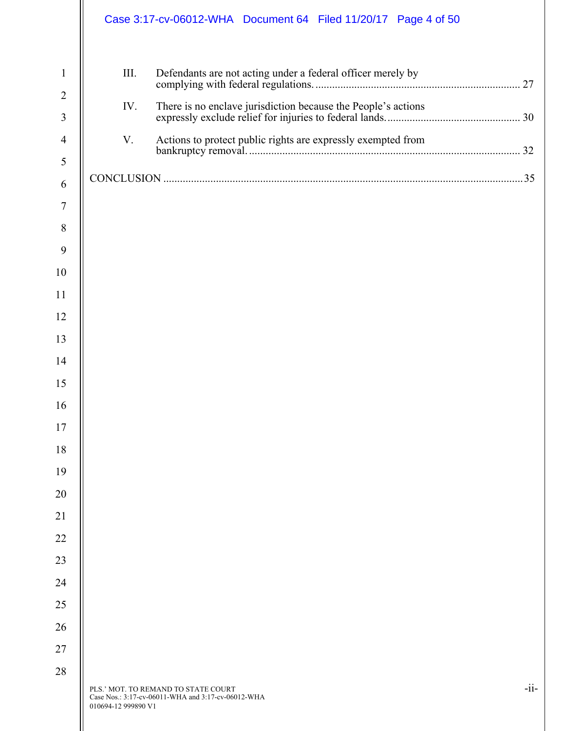|                                                                                                                                                                                                         | Case 3:17-cv-06012-WHA Document 64 Filed 11/20/17 Page 4 of 50                                                                                   |        |
|---------------------------------------------------------------------------------------------------------------------------------------------------------------------------------------------------------|--------------------------------------------------------------------------------------------------------------------------------------------------|--------|
| $\mathbf{1}$<br>$\overline{2}$<br>3<br>$\overline{4}$<br>5<br>6<br>$\overline{7}$<br>8<br>9<br>10<br>11<br>12<br>13<br>14<br>15<br>16<br>17<br>18<br>19<br>20<br>21<br>22<br>23<br>24<br>25<br>26<br>27 | III.<br>Defendants are not acting under a federal officer merely by<br>IV.<br>V.<br>Actions to protect public rights are expressly exempted from |        |
| 28                                                                                                                                                                                                      | PLS.' MOT. TO REMAND TO STATE COURT<br>Case Nos.: 3:17-cv-06011-WHA and 3:17-cv-06012-WHA<br>010694-12 999890 V1                                 | $-ii-$ |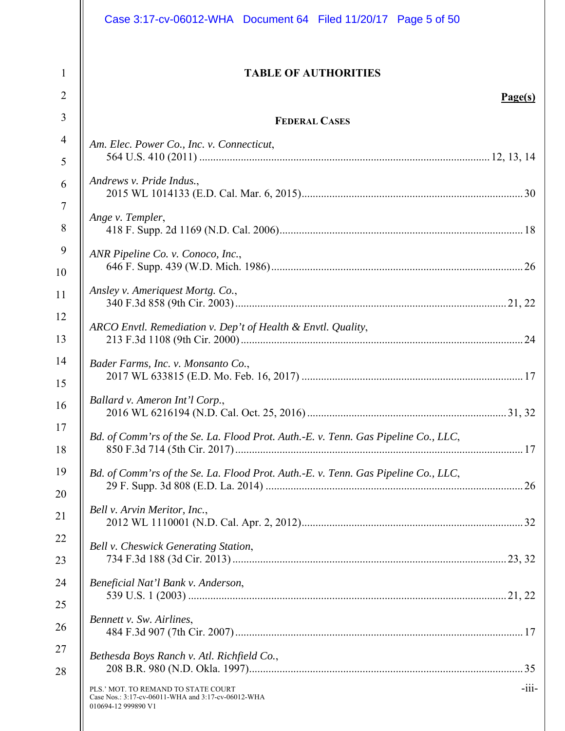| <b>TABLE OF AUTHORITIES</b><br>$\mathbf{1}$<br>$\overline{2}$<br>3<br><b>FEDERAL CASES</b><br>$\overline{4}$<br>Am. Elec. Power Co., Inc. v. Connecticut,<br>5<br>Andrews v. Pride Indus.,<br>6<br>$\overline{7}$<br>Ange v. Templer,<br>8<br>9<br>ANR Pipeline Co. v. Conoco, Inc.,<br>Ansley v. Ameriquest Mortg. Co.,<br>ARCO Envtl. Remediation v. Dep't of Health & Envtl. Quality,<br>Bader Farms, Inc. v. Monsanto Co.,<br>Ballard v. Ameron Int'l Corp.,<br>2016 WL 6216194 (N.D. Cal. Oct. 25, 2016).<br>Bd. of Comm'rs of the Se. La. Flood Prot. Auth.-E. v. Tenn. Gas Pipeline Co., LLC,<br>Bd. of Comm'rs of the Se. La. Flood Prot. Auth.-E. v. Tenn. Gas Pipeline Co., LLC, | Page(s) |
|--------------------------------------------------------------------------------------------------------------------------------------------------------------------------------------------------------------------------------------------------------------------------------------------------------------------------------------------------------------------------------------------------------------------------------------------------------------------------------------------------------------------------------------------------------------------------------------------------------------------------------------------------------------------------------------------|---------|
| 10<br>11<br>12<br>13<br>14<br>15<br>16<br>17<br>18<br>19<br>20                                                                                                                                                                                                                                                                                                                                                                                                                                                                                                                                                                                                                             |         |
|                                                                                                                                                                                                                                                                                                                                                                                                                                                                                                                                                                                                                                                                                            |         |
|                                                                                                                                                                                                                                                                                                                                                                                                                                                                                                                                                                                                                                                                                            |         |
|                                                                                                                                                                                                                                                                                                                                                                                                                                                                                                                                                                                                                                                                                            |         |
|                                                                                                                                                                                                                                                                                                                                                                                                                                                                                                                                                                                                                                                                                            |         |
|                                                                                                                                                                                                                                                                                                                                                                                                                                                                                                                                                                                                                                                                                            |         |
|                                                                                                                                                                                                                                                                                                                                                                                                                                                                                                                                                                                                                                                                                            |         |
|                                                                                                                                                                                                                                                                                                                                                                                                                                                                                                                                                                                                                                                                                            |         |
|                                                                                                                                                                                                                                                                                                                                                                                                                                                                                                                                                                                                                                                                                            |         |
|                                                                                                                                                                                                                                                                                                                                                                                                                                                                                                                                                                                                                                                                                            |         |
|                                                                                                                                                                                                                                                                                                                                                                                                                                                                                                                                                                                                                                                                                            | 31, 32  |
|                                                                                                                                                                                                                                                                                                                                                                                                                                                                                                                                                                                                                                                                                            |         |
|                                                                                                                                                                                                                                                                                                                                                                                                                                                                                                                                                                                                                                                                                            |         |
| Bell v. Arvin Meritor, Inc.,<br>21                                                                                                                                                                                                                                                                                                                                                                                                                                                                                                                                                                                                                                                         |         |
| 22<br>Bell v. Cheswick Generating Station,<br>23                                                                                                                                                                                                                                                                                                                                                                                                                                                                                                                                                                                                                                           |         |
| 24<br>Beneficial Nat'l Bank v. Anderson,<br>25                                                                                                                                                                                                                                                                                                                                                                                                                                                                                                                                                                                                                                             |         |
| Bennett v. Sw. Airlines,<br>26                                                                                                                                                                                                                                                                                                                                                                                                                                                                                                                                                                                                                                                             |         |
| 27<br>Bethesda Boys Ranch v. Atl. Richfield Co.,<br>28                                                                                                                                                                                                                                                                                                                                                                                                                                                                                                                                                                                                                                     |         |
| PLS.' MOT. TO REMAND TO STATE COURT<br>Case Nos.: 3:17-cv-06011-WHA and 3:17-cv-06012-WHA<br>010694-12 999890 V1                                                                                                                                                                                                                                                                                                                                                                                                                                                                                                                                                                           | $-iii-$ |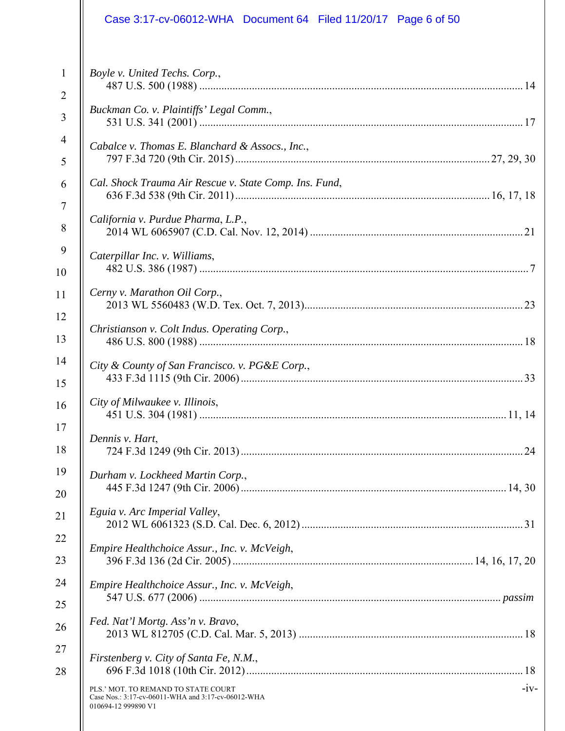|                | Case 3:17-cv-06012-WHA Document 64 Filed 11/20/17 Page 6 of 50                                                             |
|----------------|----------------------------------------------------------------------------------------------------------------------------|
| $\mathbf{1}$   | Boyle v. United Techs. Corp.,                                                                                              |
| $\overline{2}$ |                                                                                                                            |
| 3              | Buckman Co. v. Plaintiffs' Legal Comm.,                                                                                    |
| $\overline{4}$ | Cabalce v. Thomas E. Blanchard & Assocs., Inc.,                                                                            |
| 5              |                                                                                                                            |
| 6              | Cal. Shock Trauma Air Rescue v. State Comp. Ins. Fund,                                                                     |
| $\overline{7}$ | California v. Purdue Pharma, L.P.,                                                                                         |
| 8              |                                                                                                                            |
| 9              | Caterpillar Inc. v. Williams,                                                                                              |
| 10             |                                                                                                                            |
| 11             | Cerny v. Marathon Oil Corp.,                                                                                               |
| 12             | Christianson v. Colt Indus. Operating Corp.,                                                                               |
| 13             |                                                                                                                            |
| 14             | City & County of San Francisco. v. PG&E Corp.,                                                                             |
| 15             |                                                                                                                            |
| 16             | City of Milwaukee v. Illinois,                                                                                             |
| 17             | Dennis v. Hart,                                                                                                            |
| 18             |                                                                                                                            |
| 19             | Durham v. Lockheed Martin Corp.,                                                                                           |
| 20             |                                                                                                                            |
| 21             | Eguia v. Arc Imperial Valley,                                                                                              |
| 22             | Empire Healthchoice Assur., Inc. v. McVeigh,                                                                               |
| 23             |                                                                                                                            |
| 24             | Empire Healthchoice Assur., Inc. v. McVeigh,                                                                               |
| 25             | Fed. Nat'l Mortg. Ass'n v. Bravo,                                                                                          |
| 26             |                                                                                                                            |
| 27             | Firstenberg v. City of Santa Fe, N.M.,                                                                                     |
| 28             |                                                                                                                            |
|                | $-iv-$<br>PLS.' MOT. TO REMAND TO STATE COURT<br>Case Nos.: 3:17-cv-06011-WHA and 3:17-cv-06012-WHA<br>010694-12 999890 V1 |
|                |                                                                                                                            |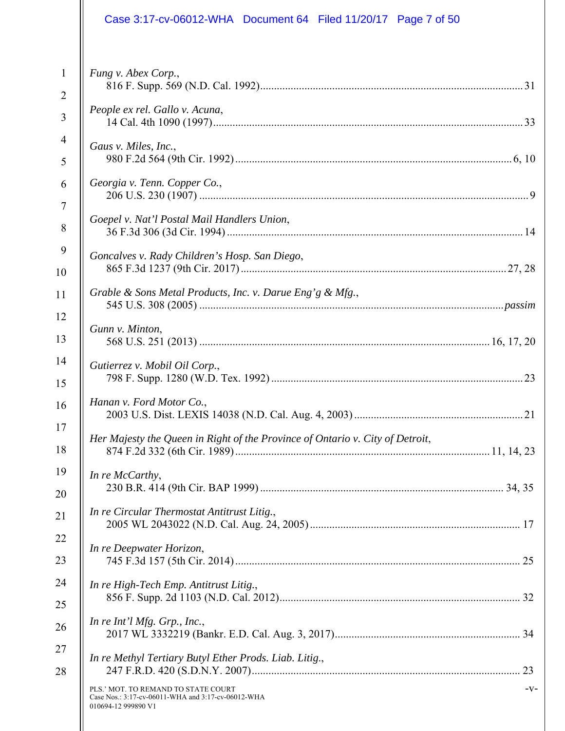|                                                                                                                                                                                                                         | Case 3:17-cv-06012-WHA Document 64 Filed 11/20/17 Page 7 of 50                                                                                                                                                                                                                                                                                                                                                                                                                                                                                                                      |
|-------------------------------------------------------------------------------------------------------------------------------------------------------------------------------------------------------------------------|-------------------------------------------------------------------------------------------------------------------------------------------------------------------------------------------------------------------------------------------------------------------------------------------------------------------------------------------------------------------------------------------------------------------------------------------------------------------------------------------------------------------------------------------------------------------------------------|
| $\mathbf{1}$<br>$\overline{2}$<br>$\overline{3}$<br>$\overline{4}$<br>5<br>6<br>$\overline{7}$<br>8<br>$\boldsymbol{9}$<br>10<br>11<br>12<br>13<br>14<br>15<br>16<br>17<br>18<br>19<br>20<br>21<br>22<br>23<br>24<br>25 | Fung v. Abex Corp.,<br>People ex rel. Gallo v. Acuna,<br>Gaus v. Miles, Inc.,<br>Georgia v. Tenn. Copper Co.,<br>Goepel v. Nat'l Postal Mail Handlers Union,<br>Goncalves v. Rady Children's Hosp. San Diego,<br>Grable & Sons Metal Products, Inc. v. Darue Eng'g & Mfg.,<br>Gunn v. Minton,<br>Gutierrez v. Mobil Oil Corp.,<br>Hanan v. Ford Motor Co.,<br>Her Majesty the Queen in Right of the Province of Ontario v. City of Detroit,<br>In re McCarthy,<br>In re Circular Thermostat Antitrust Litig.,<br>In re Deepwater Horizon,<br>In re High-Tech Emp. Antitrust Litig., |
| 26<br>27<br>28                                                                                                                                                                                                          | In re Int'l Mfg. Grp., Inc.,<br>In re Methyl Tertiary Butyl Ether Prods. Liab. Litig.,<br>$-V -$<br>PLS.' MOT. TO REMAND TO STATE COURT<br>Case Nos.: 3:17-cv-06011-WHA and 3:17-cv-06012-WHA<br>010694-12 999890 V1                                                                                                                                                                                                                                                                                                                                                                |
|                                                                                                                                                                                                                         |                                                                                                                                                                                                                                                                                                                                                                                                                                                                                                                                                                                     |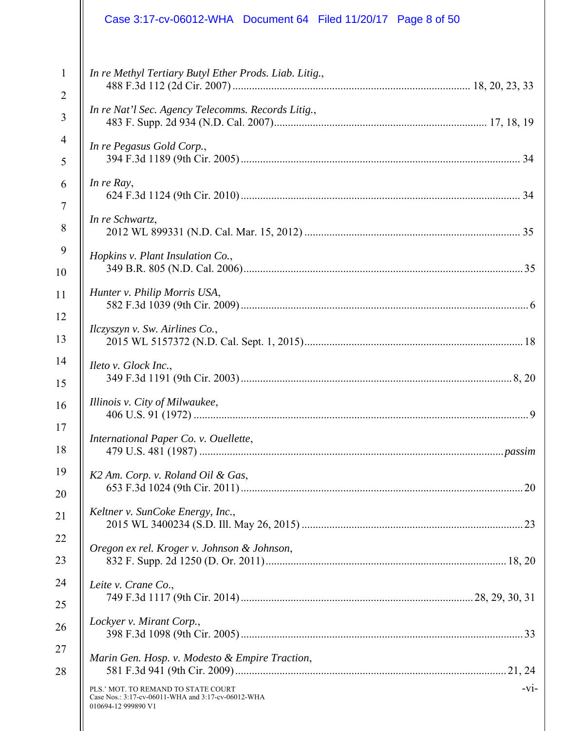|                | Case 3:17-cv-06012-WHA Document 64 Filed 11/20/17 Page 8 of 50                                                             |
|----------------|----------------------------------------------------------------------------------------------------------------------------|
| $\mathbf{1}$   | In re Methyl Tertiary Butyl Ether Prods. Liab. Litig.,                                                                     |
| $\overline{2}$ |                                                                                                                            |
| 3              | In re Nat'l Sec. Agency Telecomms. Records Litig.,                                                                         |
| $\overline{4}$ | In re Pegasus Gold Corp.,                                                                                                  |
| 5              |                                                                                                                            |
| 6              | In re Ray,                                                                                                                 |
| $\overline{7}$ |                                                                                                                            |
| 8              | In re Schwartz,                                                                                                            |
| 9              | Hopkins v. Plant Insulation Co.,                                                                                           |
| 10             |                                                                                                                            |
| 11             | Hunter v. Philip Morris USA,                                                                                               |
| 12             | Ilczyszyn v. Sw. Airlines Co.,                                                                                             |
| 13             |                                                                                                                            |
| 14             | Ileto v. Glock Inc.,                                                                                                       |
| 15             |                                                                                                                            |
| 16             | Illinois v. City of Milwaukee,<br>. 9                                                                                      |
| 17             | International Paper Co. v. Ouellette,                                                                                      |
| 18             |                                                                                                                            |
| 19             | K2 Am. Corp. v. Roland Oil & Gas,                                                                                          |
| 20             |                                                                                                                            |
| 21             | Keltner v. SunCoke Energy, Inc.,                                                                                           |
| 22             | Oregon ex rel. Kroger v. Johnson & Johnson,                                                                                |
| 23             |                                                                                                                            |
| 24             | Leite v. Crane Co.,                                                                                                        |
| 25             |                                                                                                                            |
| 26             | Lockyer v. Mirant Corp.,                                                                                                   |
| 27             | Marin Gen. Hosp. v. Modesto & Empire Traction,                                                                             |
| 28             |                                                                                                                            |
|                | $-vi-$<br>PLS.' MOT. TO REMAND TO STATE COURT<br>Case Nos.: 3:17-cv-06011-WHA and 3:17-cv-06012-WHA<br>010694-12 999890 V1 |
|                |                                                                                                                            |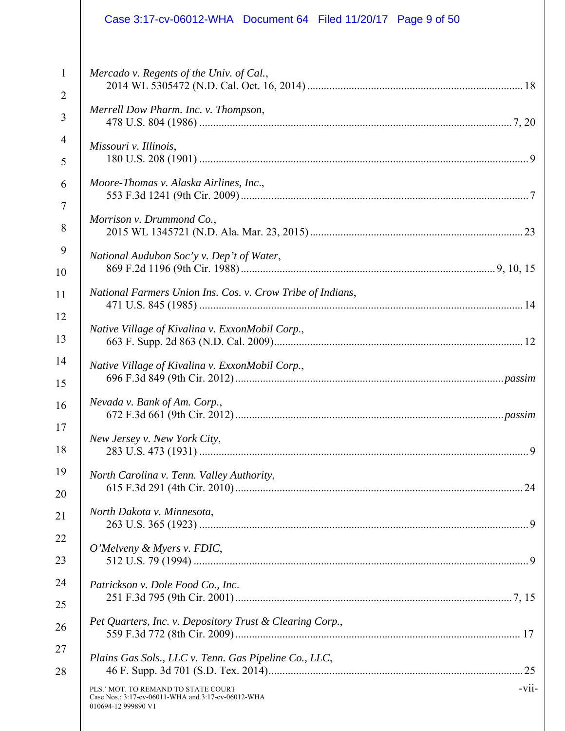|                | Case 3:17-cv-06012-WHA Document 64 Filed 11/20/17 Page 9 of 50                                                             |
|----------------|----------------------------------------------------------------------------------------------------------------------------|
| $\mathbf{1}$   | Mercado v. Regents of the Univ. of Cal.,                                                                                   |
| $\overline{2}$ |                                                                                                                            |
| 3              | Merrell Dow Pharm. Inc. v. Thompson,                                                                                       |
| 4              | Missouri v. Illinois,                                                                                                      |
| 5              |                                                                                                                            |
| 6              | Moore-Thomas v. Alaska Airlines, Inc.,                                                                                     |
| $\tau$         | Morrison v. Drummond Co.,                                                                                                  |
| 8              |                                                                                                                            |
| 9              | National Audubon Soc'y v. Dep't of Water,                                                                                  |
| 10             |                                                                                                                            |
| 11             | National Farmers Union Ins. Cos. v. Crow Tribe of Indians,                                                                 |
| 12             | Native Village of Kivalina v. ExxonMobil Corp.,                                                                            |
| 13             |                                                                                                                            |
| 14             | Native Village of Kivalina v. ExxonMobil Corp.,                                                                            |
| 15             |                                                                                                                            |
| 16             | Nevada v. Bank of Am. Corp.,                                                                                               |
| 17             | New Jersey v. New York City,                                                                                               |
| 18             |                                                                                                                            |
| 19             | North Carolina v. Tenn. Valley Authority,                                                                                  |
| 20             |                                                                                                                            |
| 21             | North Dakota v. Minnesota,                                                                                                 |
| 22             | O'Melveny & Myers v. FDIC,                                                                                                 |
| 23             |                                                                                                                            |
| 24             | Patrickson v. Dole Food Co., Inc.                                                                                          |
| 25             | Pet Quarters, Inc. v. Depository Trust & Clearing Corp.,                                                                   |
| 26             |                                                                                                                            |
| 27             | Plains Gas Sols., LLC v. Tenn. Gas Pipeline Co., LLC,                                                                      |
| 28             |                                                                                                                            |
|                | $-vii$<br>PLS.' MOT. TO REMAND TO STATE COURT<br>Case Nos.: 3:17-cv-06011-WHA and 3:17-cv-06012-WHA<br>010694-12 999890 V1 |
|                |                                                                                                                            |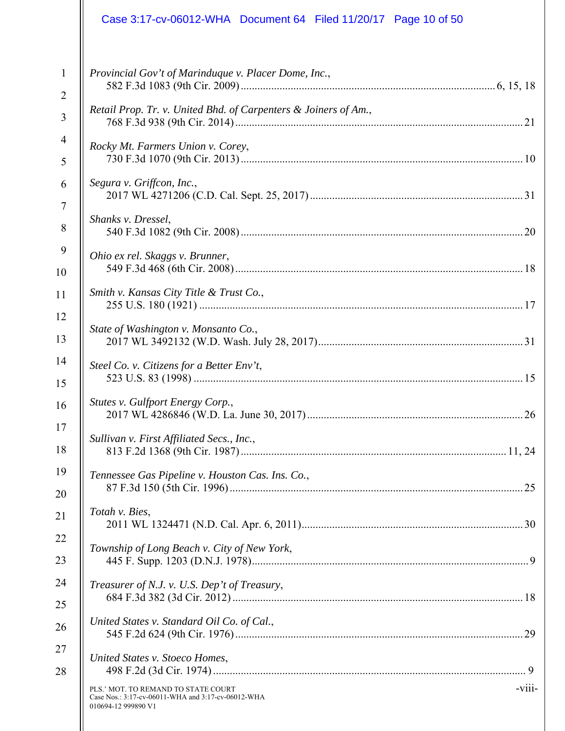|                                | Case 3:17-cv-06012-WHA  Document 64  Filed 11/20/17  Page 10 of 50                                                          |
|--------------------------------|-----------------------------------------------------------------------------------------------------------------------------|
| $\mathbf{1}$<br>$\overline{2}$ | Provincial Gov't of Marinduque v. Placer Dome, Inc.,<br>Retail Prop. Tr. v. United Bhd. of Carpenters & Joiners of Am.,     |
| 3                              |                                                                                                                             |
| $\overline{4}$<br>5            | Rocky Mt. Farmers Union v. Corey,                                                                                           |
| 6<br>$\tau$                    | Segura v. Griffcon, Inc.,                                                                                                   |
| 8                              | Shanks v. Dressel,                                                                                                          |
| 9<br>10                        | Ohio ex rel. Skaggs v. Brunner,                                                                                             |
| 11                             | Smith v. Kansas City Title & Trust Co.,                                                                                     |
| 12<br>13                       | State of Washington v. Monsanto Co.,                                                                                        |
| 14<br>15                       | Steel Co. v. Citizens for a Better Env't,                                                                                   |
| 16<br>17                       | Stutes v. Gulfport Energy Corp.,<br>. 26                                                                                    |
| 18                             | Sullivan v. First Affiliated Secs., Inc.,                                                                                   |
| 19<br>20                       | Tennessee Gas Pipeline v. Houston Cas. Ins. Co.,                                                                            |
| 21                             | Totah v. Bies,                                                                                                              |
| 22<br>23                       | Township of Long Beach v. City of New York,                                                                                 |
| 24<br>25                       | Treasurer of N.J. v. U.S. Dep't of Treasury,                                                                                |
| 26                             | United States v. Standard Oil Co. of Cal.,                                                                                  |
| 27<br>28                       | United States v. Stoeco Homes,                                                                                              |
|                                | $-viii$<br>PLS.' MOT. TO REMAND TO STATE COURT<br>Case Nos.: 3:17-cv-06011-WHA and 3:17-cv-06012-WHA<br>010694-12 999890 V1 |
|                                |                                                                                                                             |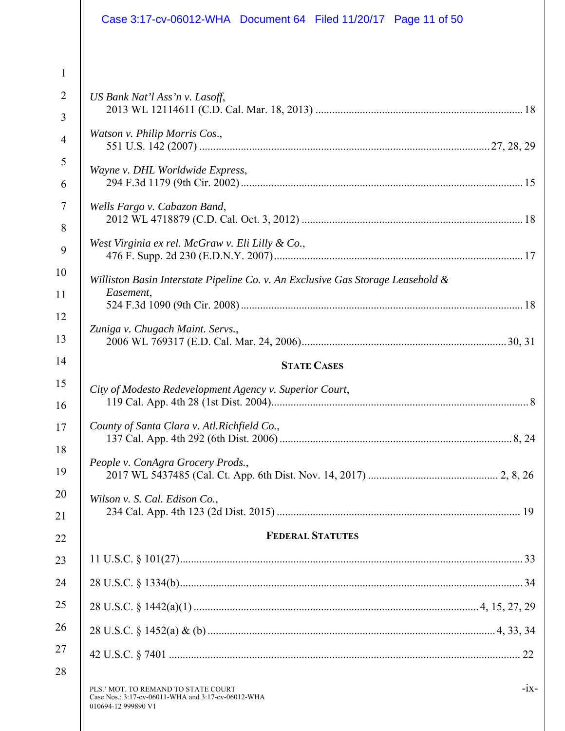|                                                                                             | Case 3:17-cv-06012-WHA  Document 64  Filed 11/20/17  Page 11 of 50                                                                                                                     |
|---------------------------------------------------------------------------------------------|----------------------------------------------------------------------------------------------------------------------------------------------------------------------------------------|
| $\mathbf{1}$<br>$\overline{2}$<br>3<br>$\overline{4}$<br>5<br>6<br>$\overline{7}$<br>8<br>9 | US Bank Nat'l Ass'n v. Lasoff,<br>Watson v. Philip Morris Cos.,<br>Wayne v. DHL Worldwide Express,<br>Wells Fargo v. Cabazon Band,<br>West Virginia ex rel. McGraw v. Eli Lilly & Co., |
| 10<br>11                                                                                    | Williston Basin Interstate Pipeline Co. v. An Exclusive Gas Storage Leasehold &<br>Easement,                                                                                           |
| 12<br>13<br>14                                                                              | Zuniga v. Chugach Maint. Servs.,<br><b>STATE CASES</b>                                                                                                                                 |
| 15<br>16                                                                                    | City of Modesto Redevelopment Agency v. Superior Court,                                                                                                                                |
| 17<br>18                                                                                    | County of Santa Clara v. Atl.Richfield Co.,                                                                                                                                            |
| 19<br>20                                                                                    | People v. ConAgra Grocery Prods.,<br>Wilson v. S. Cal. Edison Co.,                                                                                                                     |
| 21<br>22                                                                                    | <b>FEDERAL STATUTES</b>                                                                                                                                                                |
| 23                                                                                          |                                                                                                                                                                                        |
| 24                                                                                          |                                                                                                                                                                                        |
| 25                                                                                          |                                                                                                                                                                                        |
| 26                                                                                          |                                                                                                                                                                                        |
| 27                                                                                          |                                                                                                                                                                                        |
| 28                                                                                          | $-ix-$<br>PLS.' MOT. TO REMAND TO STATE COURT<br>Case Nos.: 3:17-cv-06011-WHA and 3:17-cv-06012-WHA<br>010694-12 999890 V1                                                             |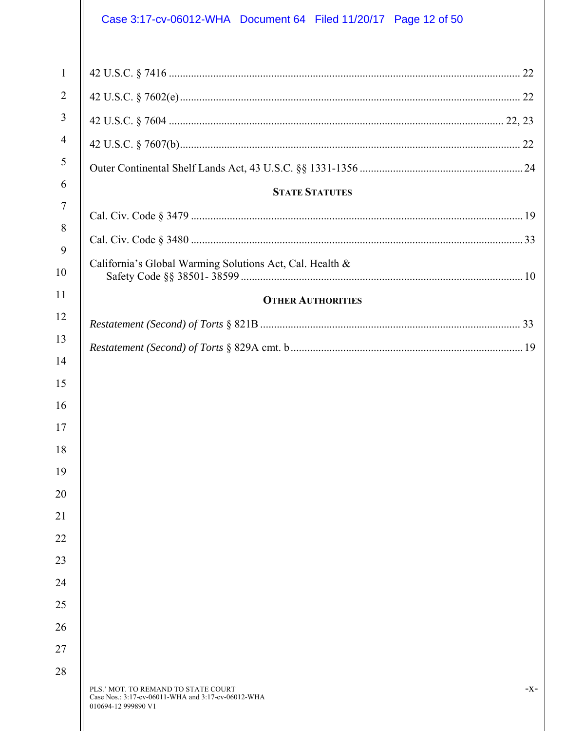# Case 3:17-cv-06012-WHA Document 64 Filed 11/20/17 Page 12 of 50

| $\mathbf{1}$   |                                                                                                                  |       |
|----------------|------------------------------------------------------------------------------------------------------------------|-------|
| $\overline{2}$ |                                                                                                                  |       |
| $\mathfrak{Z}$ |                                                                                                                  |       |
| $\overline{4}$ |                                                                                                                  |       |
| 5              |                                                                                                                  |       |
| 6              | <b>STATE STATUTES</b>                                                                                            |       |
| $\overline{7}$ |                                                                                                                  |       |
| 8              |                                                                                                                  |       |
| 9              | California's Global Warming Solutions Act, Cal. Health &                                                         |       |
| 10             |                                                                                                                  |       |
| 11             | <b>OTHER AUTHORITIES</b>                                                                                         |       |
| 12             |                                                                                                                  |       |
| 13             |                                                                                                                  |       |
| 14             |                                                                                                                  |       |
| 15             |                                                                                                                  |       |
| 16             |                                                                                                                  |       |
| 17             |                                                                                                                  |       |
| 18<br>19       |                                                                                                                  |       |
| 20             |                                                                                                                  |       |
| 21             |                                                                                                                  |       |
| 22             |                                                                                                                  |       |
| 23             |                                                                                                                  |       |
| 24             |                                                                                                                  |       |
| 25             |                                                                                                                  |       |
| 26             |                                                                                                                  |       |
| 27             |                                                                                                                  |       |
| 28             |                                                                                                                  |       |
|                | PLS.' MOT. TO REMAND TO STATE COURT<br>Case Nos.: 3:17-cv-06011-WHA and 3:17-cv-06012-WHA<br>010694-12 999890 V1 | $-X-$ |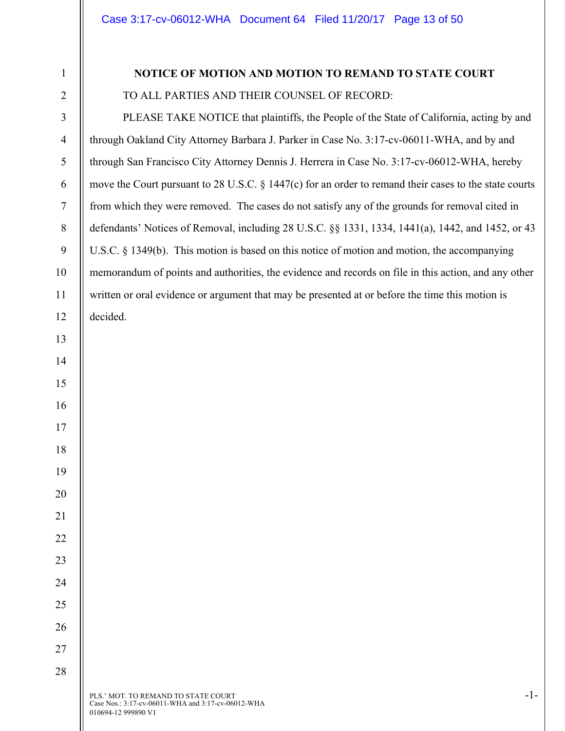# **NOTICE OF MOTION AND MOTION TO REMAND TO STATE COURT**  TO ALL PARTIES AND THEIR COUNSEL OF RECORD:

PLEASE TAKE NOTICE that plaintiffs, the People of the State of California, acting by and through Oakland City Attorney Barbara J. Parker in Case No. 3:17-cv-06011-WHA, and by and through San Francisco City Attorney Dennis J. Herrera in Case No. 3:17-cv-06012-WHA, hereby move the Court pursuant to 28 U.S.C. § 1447(c) for an order to remand their cases to the state courts from which they were removed. The cases do not satisfy any of the grounds for removal cited in defendants' Notices of Removal, including 28 U.S.C. §§ 1331, 1334, 1441(a), 1442, and 1452, or 43 U.S.C. § 1349(b). This motion is based on this notice of motion and motion, the accompanying memorandum of points and authorities, the evidence and records on file in this action, and any other written or oral evidence or argument that may be presented at or before the time this motion is decided.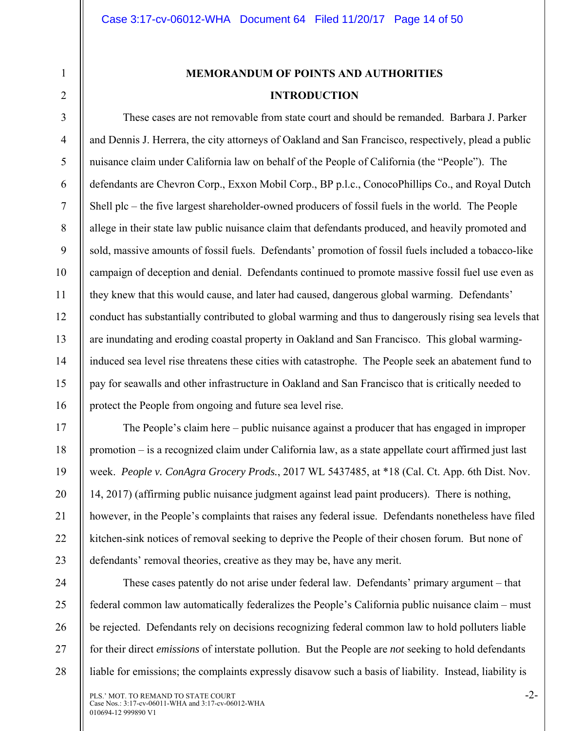2

3

4

5

6

7

8

9

10

11

12

13

14

15

16

17

18

19

20

21

22

23

# **MEMORANDUM OF POINTS AND AUTHORITIES INTRODUCTION**

These cases are not removable from state court and should be remanded. Barbara J. Parker and Dennis J. Herrera, the city attorneys of Oakland and San Francisco, respectively, plead a public nuisance claim under California law on behalf of the People of California (the "People"). The defendants are Chevron Corp., Exxon Mobil Corp., BP p.l.c., ConocoPhillips Co., and Royal Dutch Shell plc – the five largest shareholder-owned producers of fossil fuels in the world. The People allege in their state law public nuisance claim that defendants produced, and heavily promoted and sold, massive amounts of fossil fuels. Defendants' promotion of fossil fuels included a tobacco-like campaign of deception and denial. Defendants continued to promote massive fossil fuel use even as they knew that this would cause, and later had caused, dangerous global warming. Defendants' conduct has substantially contributed to global warming and thus to dangerously rising sea levels that are inundating and eroding coastal property in Oakland and San Francisco. This global warminginduced sea level rise threatens these cities with catastrophe. The People seek an abatement fund to pay for seawalls and other infrastructure in Oakland and San Francisco that is critically needed to protect the People from ongoing and future sea level rise.

The People's claim here – public nuisance against a producer that has engaged in improper promotion – is a recognized claim under California law, as a state appellate court affirmed just last week. *People v. ConAgra Grocery Prods.*, 2017 WL 5437485, at \*18 (Cal. Ct. App. 6th Dist. Nov. 14, 2017) (affirming public nuisance judgment against lead paint producers). There is nothing, however, in the People's complaints that raises any federal issue. Defendants nonetheless have filed kitchen-sink notices of removal seeking to deprive the People of their chosen forum. But none of defendants' removal theories, creative as they may be, have any merit.

24 25 26 27 28 These cases patently do not arise under federal law. Defendants' primary argument – that federal common law automatically federalizes the People's California public nuisance claim – must be rejected. Defendants rely on decisions recognizing federal common law to hold polluters liable for their direct *emissions* of interstate pollution. But the People are *not* seeking to hold defendants liable for emissions; the complaints expressly disavow such a basis of liability. Instead, liability is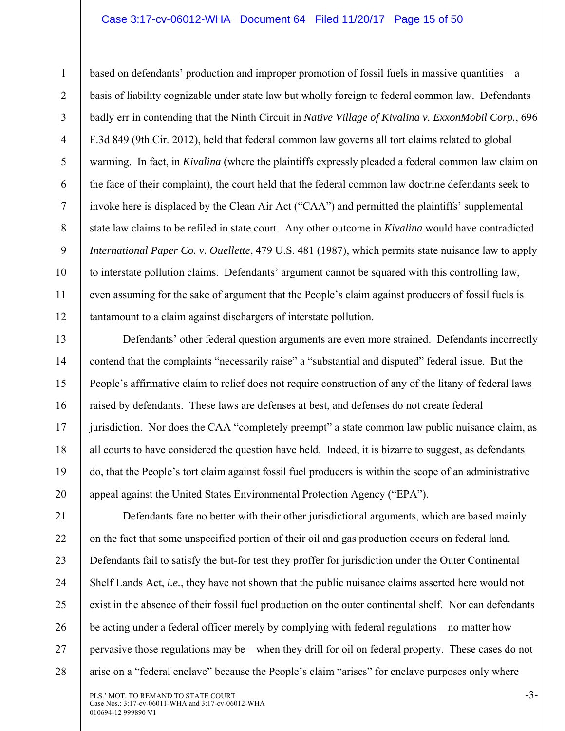#### Case 3:17-cv-06012-WHA Document 64 Filed 11/20/17 Page 15 of 50

1

2

3

4

5

6

7

8

9

10

11

12

13

14

15

16

17

18

19

20

based on defendants' production and improper promotion of fossil fuels in massive quantities – a basis of liability cognizable under state law but wholly foreign to federal common law. Defendants badly err in contending that the Ninth Circuit in *Native Village of Kivalina v. ExxonMobil Corp.*, 696 F.3d 849 (9th Cir. 2012), held that federal common law governs all tort claims related to global warming. In fact, in *Kivalina* (where the plaintiffs expressly pleaded a federal common law claim on the face of their complaint), the court held that the federal common law doctrine defendants seek to invoke here is displaced by the Clean Air Act ("CAA") and permitted the plaintiffs' supplemental state law claims to be refiled in state court. Any other outcome in *Kivalina* would have contradicted *International Paper Co. v. Ouellette*, 479 U.S. 481 (1987), which permits state nuisance law to apply to interstate pollution claims. Defendants' argument cannot be squared with this controlling law, even assuming for the sake of argument that the People's claim against producers of fossil fuels is tantamount to a claim against dischargers of interstate pollution.

Defendants' other federal question arguments are even more strained. Defendants incorrectly contend that the complaints "necessarily raise" a "substantial and disputed" federal issue. But the People's affirmative claim to relief does not require construction of any of the litany of federal laws raised by defendants. These laws are defenses at best, and defenses do not create federal jurisdiction. Nor does the CAA "completely preempt" a state common law public nuisance claim, as all courts to have considered the question have held. Indeed, it is bizarre to suggest, as defendants do, that the People's tort claim against fossil fuel producers is within the scope of an administrative appeal against the United States Environmental Protection Agency ("EPA").

21 22 23 24 25 26 27 28 Defendants fare no better with their other jurisdictional arguments, which are based mainly on the fact that some unspecified portion of their oil and gas production occurs on federal land. Defendants fail to satisfy the but-for test they proffer for jurisdiction under the Outer Continental Shelf Lands Act, *i.e.*, they have not shown that the public nuisance claims asserted here would not exist in the absence of their fossil fuel production on the outer continental shelf. Nor can defendants be acting under a federal officer merely by complying with federal regulations – no matter how pervasive those regulations may be – when they drill for oil on federal property. These cases do not arise on a "federal enclave" because the People's claim "arises" for enclave purposes only where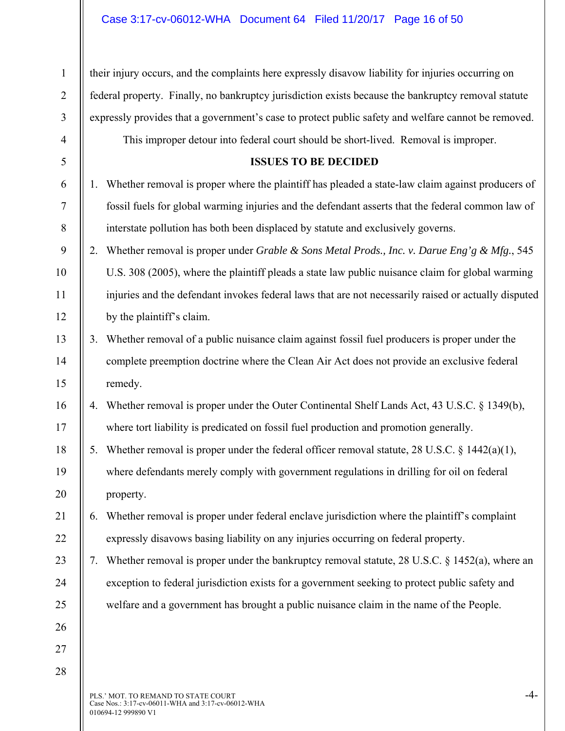| $\mathbf{1}$   |    | their injury occurs, and the complaints here expressly disavow liability for injuries occurring on   |
|----------------|----|------------------------------------------------------------------------------------------------------|
| $\overline{2}$ |    | federal property. Finally, no bankruptcy jurisdiction exists because the bankruptcy removal statute  |
| 3              |    | expressly provides that a government's case to protect public safety and welfare cannot be removed.  |
| $\overline{4}$ |    | This improper detour into federal court should be short-lived. Removal is improper.                  |
| 5              |    | <b>ISSUES TO BE DECIDED</b>                                                                          |
| 6              |    | Whether removal is proper where the plaintiff has pleaded a state-law claim against producers of     |
| 7              |    | fossil fuels for global warming injuries and the defendant asserts that the federal common law of    |
| 8              |    | interstate pollution has both been displaced by statute and exclusively governs.                     |
| 9              | 2. | Whether removal is proper under Grable & Sons Metal Prods., Inc. v. Darue Eng'g & Mfg., 545          |
| 10             |    | U.S. 308 (2005), where the plaintiff pleads a state law public nuisance claim for global warming     |
| 11             |    | injuries and the defendant invokes federal laws that are not necessarily raised or actually disputed |
| 12             |    | by the plaintiff's claim.                                                                            |
| 13             | 3. | Whether removal of a public nuisance claim against fossil fuel producers is proper under the         |
| 14             |    | complete preemption doctrine where the Clean Air Act does not provide an exclusive federal           |
| 15             |    | remedy.                                                                                              |
| 16             | 4. | Whether removal is proper under the Outer Continental Shelf Lands Act, 43 U.S.C. § 1349(b),          |
| 17             |    | where tort liability is predicated on fossil fuel production and promotion generally.                |
| 18             | 5. | Whether removal is proper under the federal officer removal statute, 28 U.S.C. § 1442(a)(1),         |
| 19             |    | where defendants merely comply with government regulations in drilling for oil on federal            |
| 20             |    | property.                                                                                            |
| 21             | 6. | Whether removal is proper under federal enclave jurisdiction where the plaintiff's complaint         |
| 22             |    | expressly disavows basing liability on any injuries occurring on federal property.                   |
| 23             | 7. | Whether removal is proper under the bankruptcy removal statute, 28 U.S.C. $\S$ 1452(a), where an     |
| 24             |    | exception to federal jurisdiction exists for a government seeking to protect public safety and       |
| 25             |    | welfare and a government has brought a public nuisance claim in the name of the People.              |
| 26             |    |                                                                                                      |
| 27             |    |                                                                                                      |
| 28             |    |                                                                                                      |
|                |    |                                                                                                      |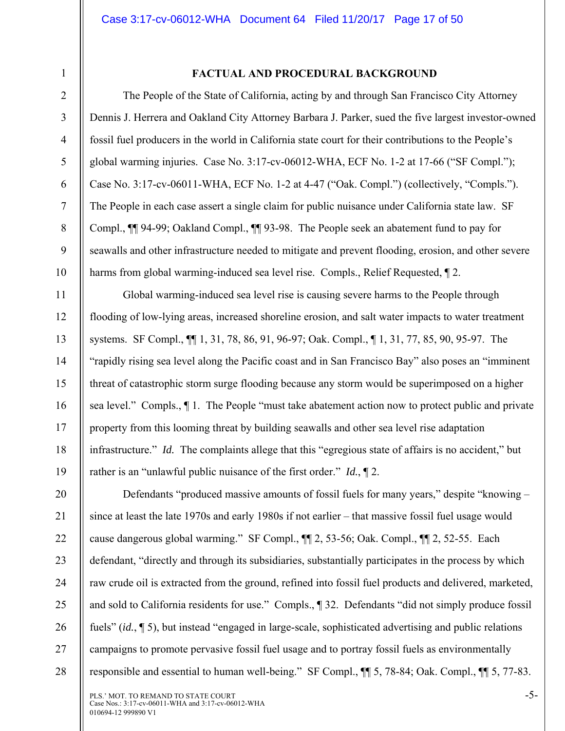4

5

6

7

8

9

10

11

12

13

14

15

16

17

18

19

1

#### **FACTUAL AND PROCEDURAL BACKGROUND**

The People of the State of California, acting by and through San Francisco City Attorney Dennis J. Herrera and Oakland City Attorney Barbara J. Parker, sued the five largest investor-owned fossil fuel producers in the world in California state court for their contributions to the People's global warming injuries. Case No. 3:17-cv-06012-WHA, ECF No. 1-2 at 17-66 ("SF Compl."); Case No. 3:17-cv-06011-WHA, ECF No. 1-2 at 4-47 ("Oak. Compl.") (collectively, "Compls."). The People in each case assert a single claim for public nuisance under California state law. SF Compl., ¶¶ 94-99; Oakland Compl., ¶¶ 93-98. The People seek an abatement fund to pay for seawalls and other infrastructure needed to mitigate and prevent flooding, erosion, and other severe harms from global warming-induced sea level rise. Compls., Relief Requested,  $\sqrt{\ }$  2.

Global warming-induced sea level rise is causing severe harms to the People through flooding of low-lying areas, increased shoreline erosion, and salt water impacts to water treatment systems. SF Compl., ¶¶ 1, 31, 78, 86, 91, 96-97; Oak. Compl., ¶ 1, 31, 77, 85, 90, 95-97. The "rapidly rising sea level along the Pacific coast and in San Francisco Bay" also poses an "imminent threat of catastrophic storm surge flooding because any storm would be superimposed on a higher sea level." Compls., ¶ 1. The People "must take abatement action now to protect public and private property from this looming threat by building seawalls and other sea level rise adaptation infrastructure." *Id.* The complaints allege that this "egregious state of affairs is no accident," but rather is an "unlawful public nuisance of the first order." *Id.*, ¶ 2.

20 21 22 23 24 25 26 27 28 Defendants "produced massive amounts of fossil fuels for many years," despite "knowing – since at least the late 1970s and early 1980s if not earlier – that massive fossil fuel usage would cause dangerous global warming." SF Compl., ¶¶ 2, 53-56; Oak. Compl., ¶¶ 2, 52-55. Each defendant, "directly and through its subsidiaries, substantially participates in the process by which raw crude oil is extracted from the ground, refined into fossil fuel products and delivered, marketed, and sold to California residents for use." Compls., ¶ 32. Defendants "did not simply produce fossil fuels" (*id.*, ¶ 5), but instead "engaged in large-scale, sophisticated advertising and public relations campaigns to promote pervasive fossil fuel usage and to portray fossil fuels as environmentally responsible and essential to human well-being." SF Compl., ¶¶ 5, 78-84; Oak. Compl., ¶¶ 5, 77-83.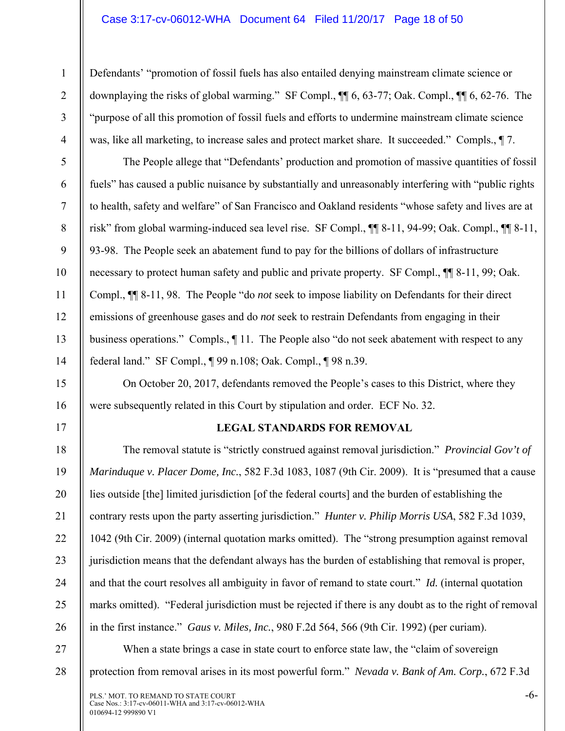#### Case 3:17-cv-06012-WHA Document 64 Filed 11/20/17 Page 18 of 50

1

2

3

4

5

6

7

8

9

10

11

12

13

14

15

16

17

18

19

20

21

22

23

24

25

26

Defendants' "promotion of fossil fuels has also entailed denying mainstream climate science or downplaying the risks of global warming." SF Compl., ¶¶ 6, 63-77; Oak. Compl., ¶¶ 6, 62-76. The "purpose of all this promotion of fossil fuels and efforts to undermine mainstream climate science was, like all marketing, to increase sales and protect market share. It succeeded." Compls., ¶ 7.

The People allege that "Defendants' production and promotion of massive quantities of fossil fuels" has caused a public nuisance by substantially and unreasonably interfering with "public rights to health, safety and welfare" of San Francisco and Oakland residents "whose safety and lives are at risk" from global warming-induced sea level rise. SF Compl., ¶¶ 8-11, 94-99; Oak. Compl., ¶¶ 8-11, 93-98. The People seek an abatement fund to pay for the billions of dollars of infrastructure necessary to protect human safety and public and private property. SF Compl., ¶¶ 8-11, 99; Oak. Compl., ¶¶ 8-11, 98. The People "do *not* seek to impose liability on Defendants for their direct emissions of greenhouse gases and do *not* seek to restrain Defendants from engaging in their business operations." Compls., ¶ 11. The People also "do not seek abatement with respect to any federal land." SF Compl., ¶ 99 n.108; Oak. Compl., ¶ 98 n.39.

On October 20, 2017, defendants removed the People's cases to this District, where they were subsequently related in this Court by stipulation and order. ECF No. 32.

#### **LEGAL STANDARDS FOR REMOVAL**

The removal statute is "strictly construed against removal jurisdiction." *Provincial Gov't of Marinduque v. Placer Dome, Inc.*, 582 F.3d 1083, 1087 (9th Cir. 2009). It is "presumed that a cause lies outside [the] limited jurisdiction [of the federal courts] and the burden of establishing the contrary rests upon the party asserting jurisdiction." *Hunter v. Philip Morris USA*, 582 F.3d 1039, 1042 (9th Cir. 2009) (internal quotation marks omitted). The "strong presumption against removal jurisdiction means that the defendant always has the burden of establishing that removal is proper, and that the court resolves all ambiguity in favor of remand to state court." *Id.* (internal quotation marks omitted). "Federal jurisdiction must be rejected if there is any doubt as to the right of removal in the first instance." *Gaus v. Miles, Inc.*, 980 F.2d 564, 566 (9th Cir. 1992) (per curiam).

27 28 When a state brings a case in state court to enforce state law, the "claim of sovereign protection from removal arises in its most powerful form." *Nevada v. Bank of Am. Corp.*, 672 F.3d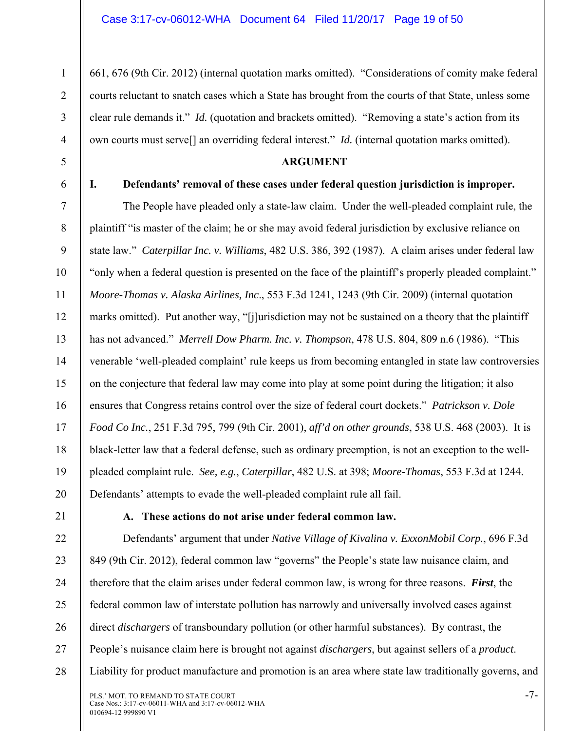661, 676 (9th Cir. 2012) (internal quotation marks omitted). "Considerations of comity make federal courts reluctant to snatch cases which a State has brought from the courts of that State, unless some clear rule demands it." *Id.* (quotation and brackets omitted). "Removing a state's action from its own courts must serve[] an overriding federal interest." *Id.* (internal quotation marks omitted).

#### **ARGUMENT**

1

2

3

4

5

6

7

8

9

10

11

12

13

14

15

16

17

18

19

20

#### **I. Defendants' removal of these cases under federal question jurisdiction is improper.**

The People have pleaded only a state-law claim. Under the well-pleaded complaint rule, the plaintiff "is master of the claim; he or she may avoid federal jurisdiction by exclusive reliance on state law." *Caterpillar Inc. v. Williams*, 482 U.S. 386, 392 (1987). A claim arises under federal law "only when a federal question is presented on the face of the plaintiff's properly pleaded complaint." *Moore-Thomas v. Alaska Airlines, Inc*., 553 F.3d 1241, 1243 (9th Cir. 2009) (internal quotation marks omitted). Put another way, "[j]urisdiction may not be sustained on a theory that the plaintiff has not advanced." *Merrell Dow Pharm. Inc. v. Thompson*, 478 U.S. 804, 809 n.6 (1986). "This venerable 'well-pleaded complaint' rule keeps us from becoming entangled in state law controversies on the conjecture that federal law may come into play at some point during the litigation; it also ensures that Congress retains control over the size of federal court dockets." *Patrickson v. Dole Food Co Inc.*, 251 F.3d 795, 799 (9th Cir. 2001), *aff'd on other grounds*, 538 U.S. 468 (2003). It is black-letter law that a federal defense, such as ordinary preemption, is not an exception to the wellpleaded complaint rule. *See, e.g.*, *Caterpillar*, 482 U.S. at 398; *Moore-Thomas*, 553 F.3d at 1244. Defendants' attempts to evade the well-pleaded complaint rule all fail.

21 22

23

24

25

26

27

28

#### **A. These actions do not arise under federal common law.**

Defendants' argument that under *Native Village of Kivalina v. ExxonMobil Corp.*, 696 F.3d 849 (9th Cir. 2012), federal common law "governs" the People's state law nuisance claim, and therefore that the claim arises under federal common law, is wrong for three reasons. *First*, the federal common law of interstate pollution has narrowly and universally involved cases against direct *dischargers* of transboundary pollution (or other harmful substances). By contrast, the People's nuisance claim here is brought not against *dischargers*, but against sellers of a *product*. Liability for product manufacture and promotion is an area where state law traditionally governs, and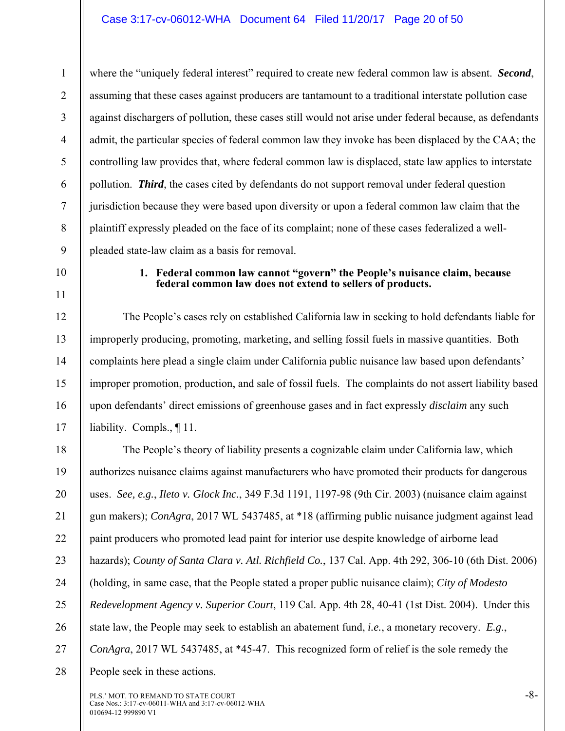1 2 3 4 5 6 7 8 9 where the "uniquely federal interest" required to create new federal common law is absent. *Second*, assuming that these cases against producers are tantamount to a traditional interstate pollution case against dischargers of pollution, these cases still would not arise under federal because, as defendants admit, the particular species of federal common law they invoke has been displaced by the CAA; the controlling law provides that, where federal common law is displaced, state law applies to interstate pollution. *Third*, the cases cited by defendants do not support removal under federal question jurisdiction because they were based upon diversity or upon a federal common law claim that the plaintiff expressly pleaded on the face of its complaint; none of these cases federalized a wellpleaded state-law claim as a basis for removal.

10

11

12

13

14

15

16

17

#### **1. Federal common law cannot "govern" the People's nuisance claim, because federal common law does not extend to sellers of products.**

The People's cases rely on established California law in seeking to hold defendants liable for improperly producing, promoting, marketing, and selling fossil fuels in massive quantities. Both complaints here plead a single claim under California public nuisance law based upon defendants' improper promotion, production, and sale of fossil fuels. The complaints do not assert liability based upon defendants' direct emissions of greenhouse gases and in fact expressly *disclaim* any such liability. Compls., ¶ 11.

18 19 20 21 22 23 24 25 26 27 28 The People's theory of liability presents a cognizable claim under California law, which authorizes nuisance claims against manufacturers who have promoted their products for dangerous uses. *See, e.g.*, *Ileto v. Glock Inc.*, 349 F.3d 1191, 1197-98 (9th Cir. 2003) (nuisance claim against gun makers); *ConAgra*, 2017 WL 5437485, at \*18 (affirming public nuisance judgment against lead paint producers who promoted lead paint for interior use despite knowledge of airborne lead hazards); *County of Santa Clara v. Atl. Richfield Co.*, 137 Cal. App. 4th 292, 306-10 (6th Dist. 2006) (holding, in same case, that the People stated a proper public nuisance claim); *City of Modesto Redevelopment Agency v. Superior Court*, 119 Cal. App. 4th 28, 40-41 (1st Dist. 2004). Under this state law, the People may seek to establish an abatement fund, *i.e.*, a monetary recovery. *E.g*., *ConAgra*, 2017 WL 5437485, at \*45-47. This recognized form of relief is the sole remedy the People seek in these actions.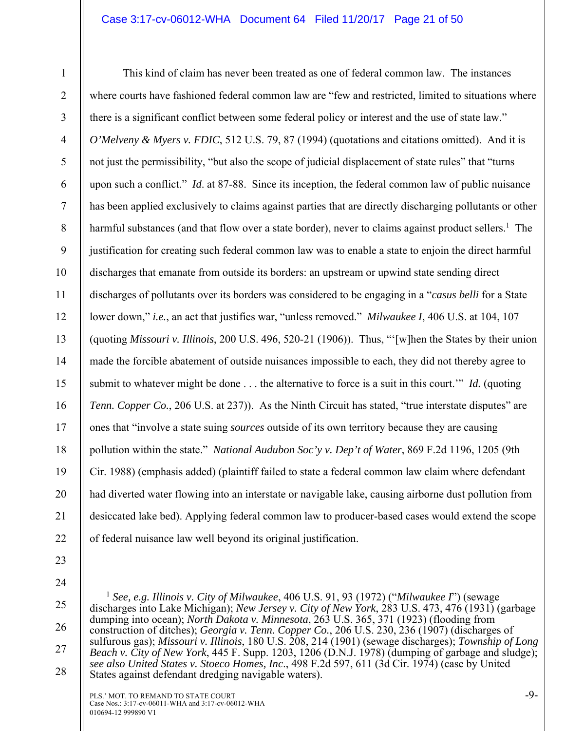#### Case 3:17-cv-06012-WHA Document 64 Filed 11/20/17 Page 21 of 50

1 2 3 4 5 6 7 8 9 10 11 12 13 14 15 16 17 18 19 20 21 22 This kind of claim has never been treated as one of federal common law. The instances where courts have fashioned federal common law are "few and restricted, limited to situations where there is a significant conflict between some federal policy or interest and the use of state law." *O'Melveny & Myers v. FDIC*, 512 U.S. 79, 87 (1994) (quotations and citations omitted). And it is not just the permissibility, "but also the scope of judicial displacement of state rules" that "turns upon such a conflict." *Id*. at 87-88. Since its inception, the federal common law of public nuisance has been applied exclusively to claims against parties that are directly discharging pollutants or other harmful substances (and that flow over a state border), never to claims against product sellers.<sup>1</sup> The justification for creating such federal common law was to enable a state to enjoin the direct harmful discharges that emanate from outside its borders: an upstream or upwind state sending direct discharges of pollutants over its borders was considered to be engaging in a "*casus belli* for a State lower down," *i.e.*, an act that justifies war, "unless removed." *Milwaukee I*, 406 U.S. at 104, 107 (quoting *Missouri v. Illinois*, 200 U.S. 496, 520-21 (1906)). Thus, "'[w]hen the States by their union made the forcible abatement of outside nuisances impossible to each, they did not thereby agree to submit to whatever might be done . . . the alternative to force is a suit in this court.'" *Id.* (quoting *Tenn. Copper Co.*, 206 U.S. at 237)). As the Ninth Circuit has stated, "true interstate disputes" are ones that "involve a state suing *sources* outside of its own territory because they are causing pollution within the state." *National Audubon Soc'y v. Dep't of Water*, 869 F.2d 1196, 1205 (9th Cir. 1988) (emphasis added) (plaintiff failed to state a federal common law claim where defendant had diverted water flowing into an interstate or navigable lake, causing airborne dust pollution from desiccated lake bed). Applying federal common law to producer-based cases would extend the scope of federal nuisance law well beyond its original justification.

- 23
- 24

25

26

27

 <sup>1</sup> *See, e.g. Illinois v. City of Milwaukee*, 406 U.S. 91, 93 (1972) ("*Milwaukee I*") (sewage discharges into Lake Michigan); *New Jersey v. City of New York*, 283 U.S. 473, 476 (1931) (garbage dumping into ocean); *North Dakota v. Minnesota*, 263 U.S. 365, 371 (1923) (flooding from construction of ditches); *Georgia v. Tenn. Copper Co.*, 206 U.S. 230, 236 (1907) (discharges of sulfurous gas); *Missouri v. Illinois*, 180 U.S. 208, 214 (1901) (sewage discharges); *Township of Long Beach v. City of New York*, 445 F. Supp. 1203, 1206 (D.N.J. 1978) (dumping of garbage and sludge); *see also United States v. Stoeco Homes, Inc*., 498 F.2d 597, 611 (3d Cir. 1974) (case by United States against defendant dredging navigable waters).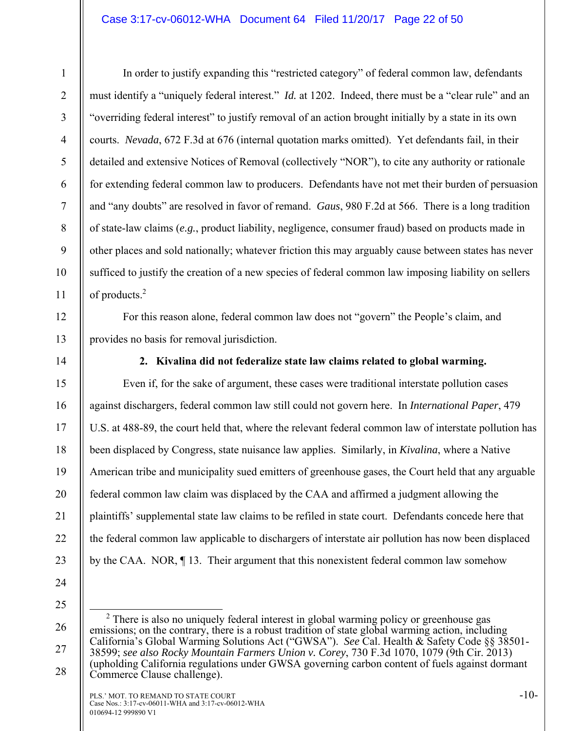#### Case 3:17-cv-06012-WHA Document 64 Filed 11/20/17 Page 22 of 50

2 3 4

5

6

7

8

9

10

11

12

13

15

16

17

18

19

20

21

22

23

1

 In order to justify expanding this "restricted category" of federal common law, defendants must identify a "uniquely federal interest." *Id.* at 1202. Indeed, there must be a "clear rule" and an "overriding federal interest" to justify removal of an action brought initially by a state in its own courts. *Nevada*, 672 F.3d at 676 (internal quotation marks omitted). Yet defendants fail, in their detailed and extensive Notices of Removal (collectively "NOR"), to cite any authority or rationale for extending federal common law to producers. Defendants have not met their burden of persuasion and "any doubts" are resolved in favor of remand. *Gaus*, 980 F.2d at 566. There is a long tradition of state-law claims (*e.g.*, product liability, negligence, consumer fraud) based on products made in other places and sold nationally; whatever friction this may arguably cause between states has never sufficed to justify the creation of a new species of federal common law imposing liability on sellers of products.<sup>2</sup>

For this reason alone, federal common law does not "govern" the People's claim, and provides no basis for removal jurisdiction.

14

**2. Kivalina did not federalize state law claims related to global warming.** 

Even if, for the sake of argument, these cases were traditional interstate pollution cases against dischargers, federal common law still could not govern here. In *International Paper*, 479 U.S. at 488-89, the court held that, where the relevant federal common law of interstate pollution has been displaced by Congress, state nuisance law applies. Similarly, in *Kivalina*, where a Native American tribe and municipality sued emitters of greenhouse gases, the Court held that any arguable federal common law claim was displaced by the CAA and affirmed a judgment allowing the plaintiffs' supplemental state law claims to be refiled in state court. Defendants concede here that the federal common law applicable to dischargers of interstate air pollution has now been displaced by the CAA. NOR, ¶ 13. Their argument that this nonexistent federal common law somehow

24 25

26

27

<sup>&</sup>lt;sup>2</sup> There is also no uniquely federal interest in global warming policy or greenhouse gas emissions; on the contrary, there is a robust tradition of state global warming action, including California's Global Warming Solutions Act ("GWSA"). *See* Cal. Health & Safety Code §§ 38501- 38599; *see also Rocky Mountain Farmers Union v. Corey*, 730 F.3d 1070, 1079 (9th Cir. 2013) (upholding California regulations under GWSA governing carbon content of fuels against dormant Commerce Clause challenge).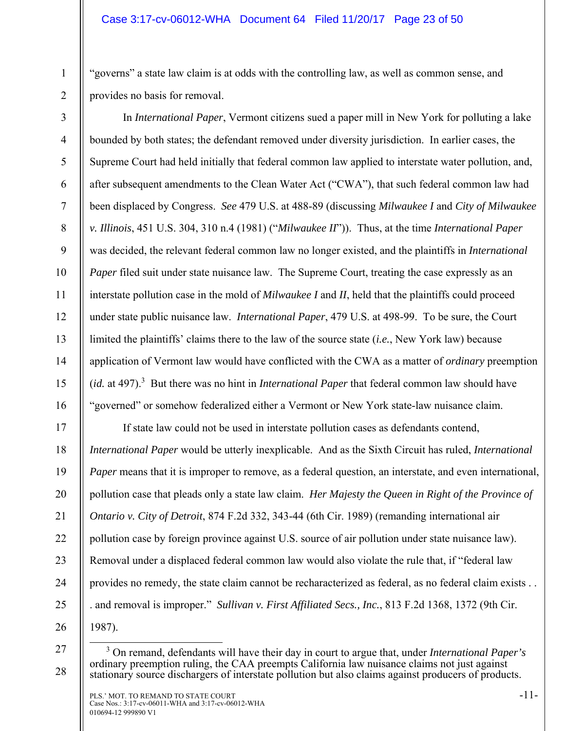"governs" a state law claim is at odds with the controlling law, as well as common sense, and provides no basis for removal.

3 4 5 6 7 8 9 10 11 12 13 14 15 16 In *International Paper*, Vermont citizens sued a paper mill in New York for polluting a lake bounded by both states; the defendant removed under diversity jurisdiction. In earlier cases, the Supreme Court had held initially that federal common law applied to interstate water pollution, and, after subsequent amendments to the Clean Water Act ("CWA"), that such federal common law had been displaced by Congress. *See* 479 U.S. at 488-89 (discussing *Milwaukee I* and *City of Milwaukee v. Illinois*, 451 U.S. 304, 310 n.4 (1981) ("*Milwaukee II*")). Thus, at the time *International Paper* was decided, the relevant federal common law no longer existed, and the plaintiffs in *International Paper* filed suit under state nuisance law. The Supreme Court, treating the case expressly as an interstate pollution case in the mold of *Milwaukee I* and *II*, held that the plaintiffs could proceed under state public nuisance law. *International Paper*, 479 U.S. at 498-99. To be sure, the Court limited the plaintiffs' claims there to the law of the source state (*i.e.*, New York law) because application of Vermont law would have conflicted with the CWA as a matter of *ordinary* preemption (*id.* at 497).<sup>3</sup> But there was no hint in *International Paper* that federal common law should have "governed" or somehow federalized either a Vermont or New York state-law nuisance claim.

17 18 19 20 21 22 23 24 25 If state law could not be used in interstate pollution cases as defendants contend, *International Paper* would be utterly inexplicable. And as the Sixth Circuit has ruled, *International Paper* means that it is improper to remove, as a federal question, an interstate, and even international, pollution case that pleads only a state law claim. *Her Majesty the Queen in Right of the Province of Ontario v. City of Detroit*, 874 F.2d 332, 343-44 (6th Cir. 1989) (remanding international air pollution case by foreign province against U.S. source of air pollution under state nuisance law). Removal under a displaced federal common law would also violate the rule that, if "federal law provides no remedy, the state claim cannot be recharacterized as federal, as no federal claim exists . . . and removal is improper." *Sullivan v. First Affiliated Secs., Inc.*, 813 F.2d 1368, 1372 (9th Cir. 1987).

26 27

28

1

 $\frac{1}{3}$  On remand, defendants will have their day in court to argue that, under *International Paper's*  ordinary preemption ruling, the CAA preempts California law nuisance claims not just against stationary source dischargers of interstate pollution but also claims against producers of products.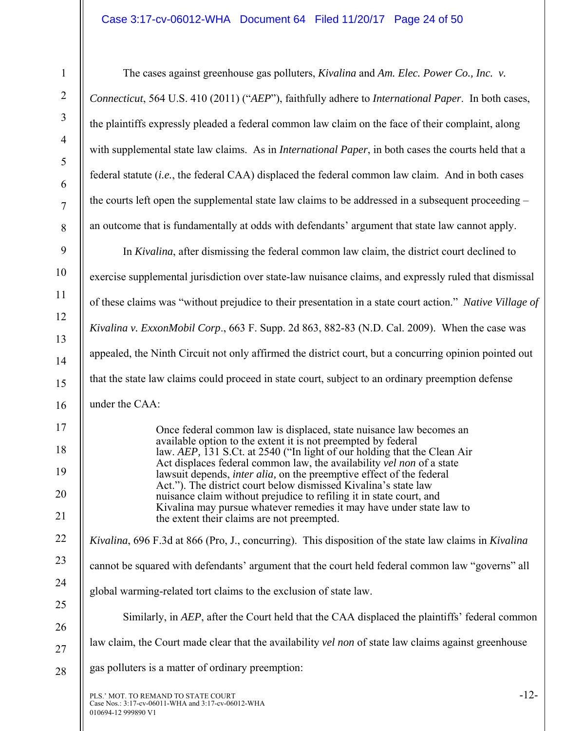PLS.' MOT. TO REMAND TO STATE COURT  $-12$ - The cases against greenhouse gas polluters, *Kivalina* and *Am. Elec. Power Co., Inc. v. Connecticut*, 564 U.S. 410 (2011) ("*AEP*"), faithfully adhere to *International Paper*. In both cases, the plaintiffs expressly pleaded a federal common law claim on the face of their complaint, along with supplemental state law claims. As in *International Paper*, in both cases the courts held that a federal statute (*i.e.*, the federal CAA) displaced the federal common law claim. And in both cases the courts left open the supplemental state law claims to be addressed in a subsequent proceeding – an outcome that is fundamentally at odds with defendants' argument that state law cannot apply. In *Kivalina*, after dismissing the federal common law claim, the district court declined to exercise supplemental jurisdiction over state-law nuisance claims, and expressly ruled that dismissal of these claims was "without prejudice to their presentation in a state court action." *Native Village of Kivalina v. ExxonMobil Corp*., 663 F. Supp. 2d 863, 882-83 (N.D. Cal. 2009). When the case was appealed, the Ninth Circuit not only affirmed the district court, but a concurring opinion pointed out that the state law claims could proceed in state court, subject to an ordinary preemption defense under the CAA: Once federal common law is displaced, state nuisance law becomes an available option to the extent it is not preempted by federal law. *AEP,* 131 S.Ct. at 2540 ("In light of our holding that the Clean Air Act displaces federal common law, the availability *vel non* of a state lawsuit depends, *inter alia,* on the preemptive effect of the federal Act."). The district court below dismissed Kivalina's state law nuisance claim without prejudice to refiling it in state court, and Kivalina may pursue whatever remedies it may have under state law to the extent their claims are not preempted. *Kivalina*, 696 F.3d at 866 (Pro, J., concurring). This disposition of the state law claims in *Kivalina* cannot be squared with defendants' argument that the court held federal common law "governs" all global warming-related tort claims to the exclusion of state law. Similarly, in *AEP*, after the Court held that the CAA displaced the plaintiffs' federal common law claim, the Court made clear that the availability *vel non* of state law claims against greenhouse gas polluters is a matter of ordinary preemption: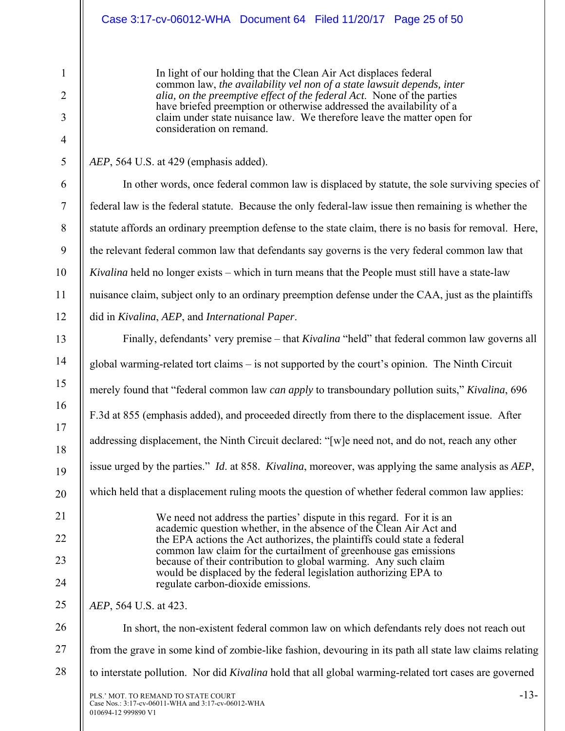### Case 3:17-cv-06012-WHA Document 64 Filed 11/20/17 Page 25 of 50

In light of our holding that the Clean Air Act displaces federal common law, *the availability vel non of a state lawsuit depends, inter alia, on the preemptive effect of the federal Act*. None of the parties have briefed preemption or otherwise addressed the availability of a claim under state nuisance law. We therefore leave the matter open for consideration on remand.

#### *AEP*, 564 U.S. at 429 (emphasis added).

1

2

3

4

5

6

7

8

9

10

11

12

13

14

15

16

17

18

19

20

21

22

23

24

25

26

In other words, once federal common law is displaced by statute, the sole surviving species of federal law is the federal statute. Because the only federal-law issue then remaining is whether the statute affords an ordinary preemption defense to the state claim, there is no basis for removal. Here, the relevant federal common law that defendants say governs is the very federal common law that *Kivalina* held no longer exists – which in turn means that the People must still have a state-law nuisance claim, subject only to an ordinary preemption defense under the CAA, just as the plaintiffs did in *Kivalina*, *AEP*, and *International Paper*.

Finally, defendants' very premise – that *Kivalina* "held" that federal common law governs all global warming-related tort claims – is not supported by the court's opinion. The Ninth Circuit merely found that "federal common law *can apply* to transboundary pollution suits," *Kivalina*, 696 F.3d at 855 (emphasis added), and proceeded directly from there to the displacement issue. After addressing displacement, the Ninth Circuit declared: "[w]e need not, and do not, reach any other issue urged by the parties." *Id*. at 858. *Kivalina*, moreover, was applying the same analysis as *AEP*, which held that a displacement ruling moots the question of whether federal common law applies: We need not address the parties' dispute in this regard. For it is an academic question whether, in the absence of the Clean Air Act and the EPA actions the Act authorizes, the plaintiffs could state a federal common law claim for the curtailment of greenhouse gas emissions because of their contribution to global warming. Any such claim would be displaced by the federal legislation authorizing EPA to regulate carbon-dioxide emissions. *AEP*, 564 U.S. at 423. In short, the non-existent federal common law on which defendants rely does not reach out

27 from the grave in some kind of zombie-like fashion, devouring in its path all state law claims relating

28 to interstate pollution. Nor did *Kivalina* hold that all global warming-related tort cases are governed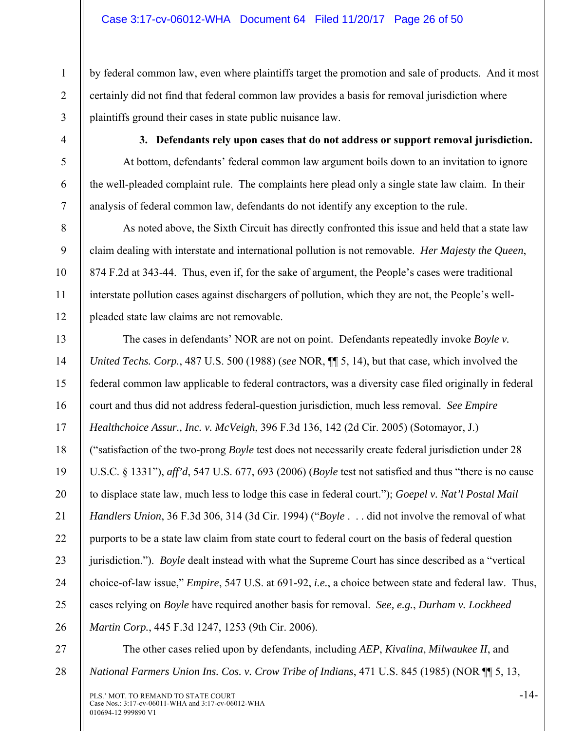by federal common law, even where plaintiffs target the promotion and sale of products. And it most certainly did not find that federal common law provides a basis for removal jurisdiction where plaintiffs ground their cases in state public nuisance law.

1

2

3

4

5

6

7

8

9

10

11

12

**3. Defendants rely upon cases that do not address or support removal jurisdiction.** 

At bottom, defendants' federal common law argument boils down to an invitation to ignore the well-pleaded complaint rule. The complaints here plead only a single state law claim. In their analysis of federal common law, defendants do not identify any exception to the rule.

As noted above, the Sixth Circuit has directly confronted this issue and held that a state law claim dealing with interstate and international pollution is not removable. *Her Majesty the Queen*, 874 F.2d at 343-44. Thus, even if, for the sake of argument, the People's cases were traditional interstate pollution cases against dischargers of pollution, which they are not, the People's wellpleaded state law claims are not removable.

13 14 15 16 17 18 19 20 21 22 23 24 25 26 The cases in defendants' NOR are not on point. Defendants repeatedly invoke *Boyle v. United Techs. Corp.*, 487 U.S. 500 (1988) (*see* NOR, ¶¶ 5, 14), but that case*,* which involved the federal common law applicable to federal contractors, was a diversity case filed originally in federal court and thus did not address federal-question jurisdiction, much less removal. *See Empire Healthchoice Assur., Inc. v. McVeigh*, 396 F.3d 136, 142 (2d Cir. 2005) (Sotomayor, J.) ("satisfaction of the two-prong *Boyle* test does not necessarily create federal jurisdiction under 28 U.S.C. § 1331"), *aff'd*, 547 U.S. 677, 693 (2006) (*Boyle* test not satisfied and thus "there is no cause to displace state law, much less to lodge this case in federal court."); *Goepel v. Nat'l Postal Mail Handlers Union*, 36 F.3d 306, 314 (3d Cir. 1994) ("*Boyle* . . . did not involve the removal of what purports to be a state law claim from state court to federal court on the basis of federal question jurisdiction."). *Boyle* dealt instead with what the Supreme Court has since described as a "vertical choice-of-law issue," *Empire*, 547 U.S. at 691-92, *i.e.*, a choice between state and federal law. Thus, cases relying on *Boyle* have required another basis for removal. *See, e.g.*, *Durham v. Lockheed Martin Corp.*, 445 F.3d 1247, 1253 (9th Cir. 2006).

27

28

The other cases relied upon by defendants, including *AEP*, *Kivalina*, *Milwaukee II*, and *National Farmers Union Ins. Cos. v. Crow Tribe of Indians*, 471 U.S. 845 (1985) (NOR ¶¶ 5, 13,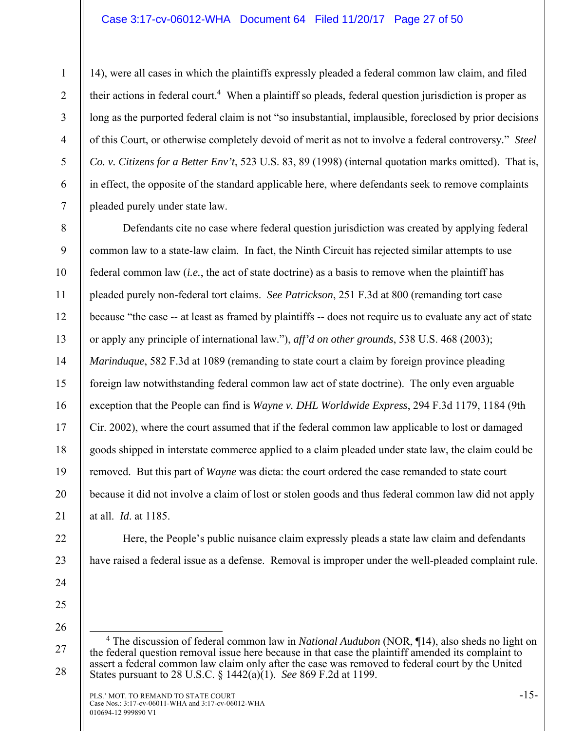#### Case 3:17-cv-06012-WHA Document 64 Filed 11/20/17 Page 27 of 50

14), were all cases in which the plaintiffs expressly pleaded a federal common law claim, and filed their actions in federal court.<sup>4</sup> When a plaintiff so pleads, federal question jurisdiction is proper as long as the purported federal claim is not "so insubstantial, implausible, foreclosed by prior decisions of this Court, or otherwise completely devoid of merit as not to involve a federal controversy*.*" *Steel Co. v. Citizens for a Better Env't*, 523 U.S. 83, 89 (1998) (internal quotation marks omitted). That is, in effect, the opposite of the standard applicable here, where defendants seek to remove complaints pleaded purely under state law.

8 9 10 11 12 13 14 15 16 17 18 19 20 21 Defendants cite no case where federal question jurisdiction was created by applying federal common law to a state-law claim. In fact, the Ninth Circuit has rejected similar attempts to use federal common law (*i.e.*, the act of state doctrine) as a basis to remove when the plaintiff has pleaded purely non-federal tort claims. *See Patrickson*, 251 F.3d at 800 (remanding tort case because "the case -- at least as framed by plaintiffs -- does not require us to evaluate any act of state or apply any principle of international law."), *aff'd on other grounds*, 538 U.S. 468 (2003); *Marinduque*, 582 F.3d at 1089 (remanding to state court a claim by foreign province pleading foreign law notwithstanding federal common law act of state doctrine). The only even arguable exception that the People can find is *Wayne v. DHL Worldwide Express*, 294 F.3d 1179, 1184 (9th Cir. 2002), where the court assumed that if the federal common law applicable to lost or damaged goods shipped in interstate commerce applied to a claim pleaded under state law, the claim could be removed. But this part of *Wayne* was dicta: the court ordered the case remanded to state court because it did not involve a claim of lost or stolen goods and thus federal common law did not apply at all. *Id*. at 1185.

Here, the People's public nuisance claim expressly pleads a state law claim and defendants have raised a federal issue as a defense. Removal is improper under the well-pleaded complaint rule.

22

23

24

1

2

3

4

5

6

<sup>25</sup>  26

<sup>27</sup>  28 4 The discussion of federal common law in *National Audubon* (NOR, ¶14), also sheds no light on the federal question removal issue here because in that case the plaintiff amended its complaint to assert a federal common law claim only after the case was removed to federal court by the United States pursuant to 28 U.S.C. § 1442(a)(1). *See* 869 F.2d at 1199.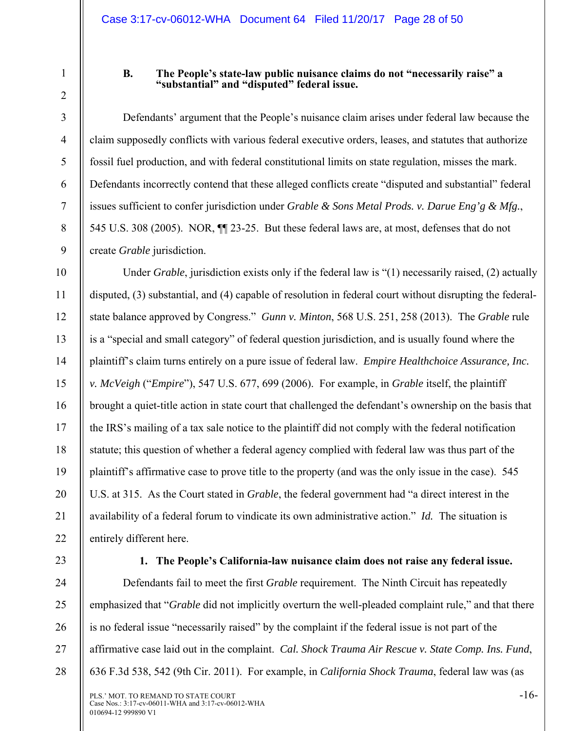4

5

6

7

8

9

1

#### **B. The People's state-law public nuisance claims do not "necessarily raise" a "substantial" and "disputed" federal issue.**

Defendants' argument that the People's nuisance claim arises under federal law because the claim supposedly conflicts with various federal executive orders, leases, and statutes that authorize fossil fuel production, and with federal constitutional limits on state regulation, misses the mark. Defendants incorrectly contend that these alleged conflicts create "disputed and substantial" federal issues sufficient to confer jurisdiction under *Grable & Sons Metal Prods. v. Darue Eng'g & Mfg.*, 545 U.S. 308 (2005). NOR, ¶¶ 23-25. But these federal laws are, at most, defenses that do not create *Grable* jurisdiction.

10 11 12 13 14 15 16 17 18 19 20 21 22 Under *Grable*, jurisdiction exists only if the federal law is "(1) necessarily raised, (2) actually disputed, (3) substantial, and (4) capable of resolution in federal court without disrupting the federalstate balance approved by Congress." *Gunn v. Minton*, 568 U.S. 251, 258 (2013). The *Grable* rule is a "special and small category" of federal question jurisdiction, and is usually found where the plaintiff's claim turns entirely on a pure issue of federal law. *Empire Healthchoice Assurance, Inc. v. McVeigh* ("*Empire*"), 547 U.S. 677, 699 (2006). For example, in *Grable* itself, the plaintiff brought a quiet-title action in state court that challenged the defendant's ownership on the basis that the IRS's mailing of a tax sale notice to the plaintiff did not comply with the federal notification statute; this question of whether a federal agency complied with federal law was thus part of the plaintiff's affirmative case to prove title to the property (and was the only issue in the case). 545 U.S. at 315. As the Court stated in *Grable*, the federal government had "a direct interest in the availability of a federal forum to vindicate its own administrative action." *Id.* The situation is entirely different here.

23

24

25

26

27

28

#### **1. The People's California-law nuisance claim does not raise any federal issue.**

Defendants fail to meet the first *Grable* requirement. The Ninth Circuit has repeatedly emphasized that "*Grable* did not implicitly overturn the well-pleaded complaint rule," and that there is no federal issue "necessarily raised" by the complaint if the federal issue is not part of the affirmative case laid out in the complaint. *Cal. Shock Trauma Air Rescue v. State Comp. Ins. Fund*, 636 F.3d 538, 542 (9th Cir. 2011). For example, in *California Shock Trauma*, federal law was (as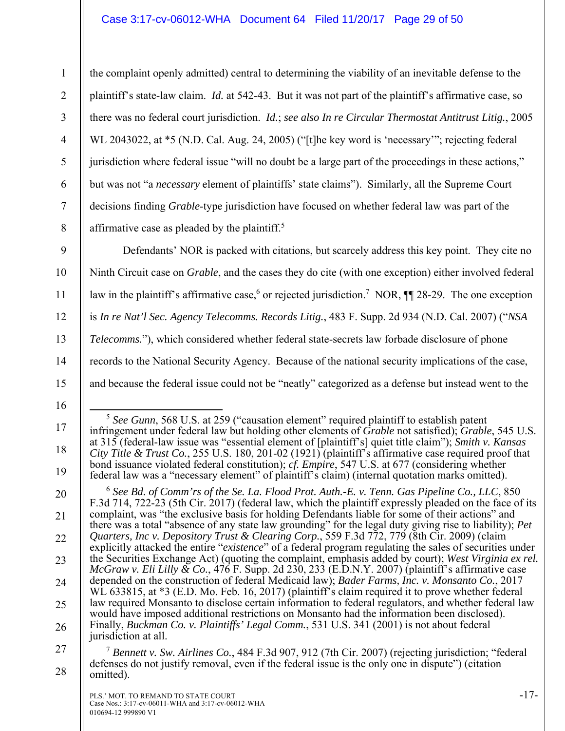#### Case 3:17-cv-06012-WHA Document 64 Filed 11/20/17 Page 29 of 50

the complaint openly admitted) central to determining the viability of an inevitable defense to the plaintiff's state-law claim. *Id.* at 542-43. But it was not part of the plaintiff's affirmative case, so there was no federal court jurisdiction. *Id.*; *see also In re Circular Thermostat Antitrust Litig.*, 2005 WL 2043022, at \*5 (N.D. Cal. Aug. 24, 2005) ("[t]he key word is 'necessary'"; rejecting federal jurisdiction where federal issue "will no doubt be a large part of the proceedings in these actions," but was not "a *necessary* element of plaintiffs' state claims"). Similarly, all the Supreme Court decisions finding *Grable*-type jurisdiction have focused on whether federal law was part of the affirmative case as pleaded by the plaintiff.<sup>5</sup>

Defendants' NOR is packed with citations, but scarcely address this key point. They cite no Ninth Circuit case on *Grable*, and the cases they do cite (with one exception) either involved federal law in the plaintiff's affirmative case,<sup>6</sup> or rejected jurisdiction.<sup>7</sup> NOR,  $\P$  28-29. The one exception is *In re Nat'l Sec. Agency Telecomms. Records Litig.*, 483 F. Supp. 2d 934 (N.D. Cal. 2007) ("*NSA Telecomms.*"), which considered whether federal state-secrets law forbade disclosure of phone records to the National Security Agency. Because of the national security implications of the case, and because the federal issue could not be "neatly" categorized as a defense but instead went to the

5 *See Gunn*, 568 U.S. at 259 ("causation element" required plaintiff to establish patent

infringement under federal law but holding other elements of *Grable* not satisfied); *Grable*, 545 U.S. at 315 (federal-law issue was "essential element of [plaintiff's] quiet title claim"); *Smith v. Kansas City Title & Trust Co.*, 255 U.S. 180, 201-02 (1921) (plaintiff's affirmative case required proof that bond issuance violated federal constitution); *cf. Empire*, 547 U.S. at 677 (considering whether federal law was a "necessary element" of plaintiff's claim) (internal quotation marks omitted).

1

2

3

4

5

6

7

8

9

10

11

12

13

14

15

17

18

19

<sup>16</sup> 

<sup>21</sup>  22 23 24 25 26 <sup>6</sup> *See Bd. of Comm'rs of the Se. La. Flood Prot. Auth.-E. v. Tenn. Gas Pipeline Co., LLC*, 850 F.3d 714, 722-23 (5th Cir. 2017) (federal law, which the plaintiff expressly pleaded on the face of its complaint, was "the exclusive basis for holding Defendants liable for some of their actions" and there was a total "absence of any state law grounding" for the legal duty giving rise to liability); *Pet Quarters, Inc v. Depository Trust & Clearing Corp.*, 559 F.3d 772, 779 (8th Cir. 2009) (claim explicitly attacked the entire "*existence*" of a federal program regulating the sales of securities under the Securities Exchange Act) (quoting the complaint, emphasis added by court); *West Virginia ex rel. McGraw v. Eli Lilly & Co.*, 476 F. Supp. 2d 230, 233 (E.D.N.Y. 2007) (plaintiff's affirmative case depended on the construction of federal Medicaid law); *Bader Farms, Inc. v. Monsanto Co.*, 2017 WL 633815, at \*3 (E.D. Mo. Feb. 16, 2017) (plaintiff's claim required it to prove whether federal law required Monsanto to disclose certain information to federal regulators, and whether federal law would have imposed additional restrictions on Monsanto had the information been disclosed). Finally, *Buckman Co. v. Plaintiffs' Legal Comm.*, 531 U.S. 341 (2001) is not about federal jurisdiction at all.

<sup>27</sup>  28 <sup>7</sup> *Bennett v. Sw. Airlines Co.*, 484 F.3d 907, 912 (7th Cir. 2007) (rejecting jurisdiction; "federal defenses do not justify removal, even if the federal issue is the only one in dispute") (citation omitted).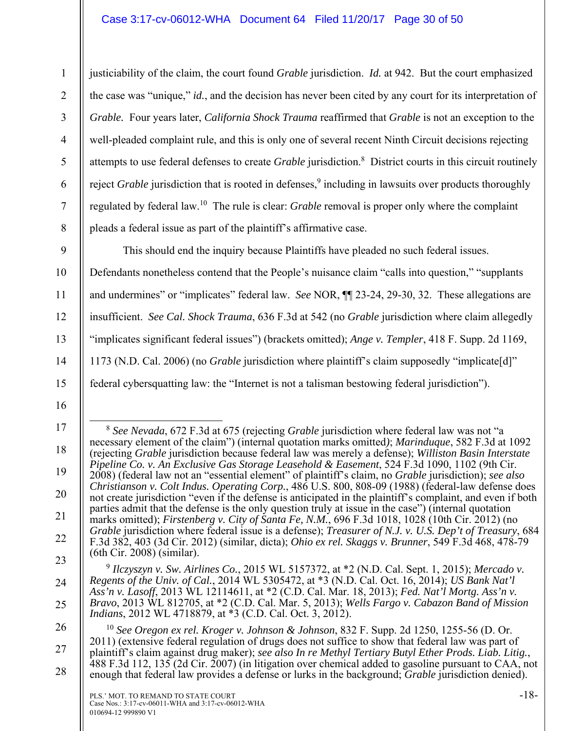2

3

4

5

6

7

8

9

10

11

12

13

14

15

16

17

18

19

20

21

22

23

24

25

27

justiciability of the claim, the court found *Grable* jurisdiction. *Id.* at 942. But the court emphasized the case was "unique," *id.*, and the decision has never been cited by any court for its interpretation of *Grable.* Four years later, *California Shock Trauma* reaffirmed that *Grable* is not an exception to the well-pleaded complaint rule, and this is only one of several recent Ninth Circuit decisions rejecting attempts to use federal defenses to create *Grable* jurisdiction.8 District courts in this circuit routinely reject *Grable* jurisdiction that is rooted in defenses,<sup>9</sup> including in lawsuits over products thoroughly regulated by federal law.10 The rule is clear: *Grable* removal is proper only where the complaint pleads a federal issue as part of the plaintiff's affirmative case.

This should end the inquiry because Plaintiffs have pleaded no such federal issues.

Defendants nonetheless contend that the People's nuisance claim "calls into question," "supplants and undermines" or "implicates" federal law. *See* NOR, ¶¶ 23-24, 29-30, 32. These allegations are insufficient. *See Cal. Shock Trauma*, 636 F.3d at 542 (no *Grable* jurisdiction where claim allegedly "implicates significant federal issues") (brackets omitted); *Ange v. Templer*, 418 F. Supp. 2d 1169, 1173 (N.D. Cal. 2006) (no *Grable* jurisdiction where plaintiff's claim supposedly "implicate[d]" federal cybersquatting law: the "Internet is not a talisman bestowing federal jurisdiction").

 <sup>8</sup> *See Nevada*, 672 F.3d at 675 (rejecting *Grable* jurisdiction where federal law was not "a necessary element of the claim") (internal quotation marks omitted*)*; *Marinduque*, 582 F.3d at 1092 (rejecting *Grable* jurisdiction because federal law was merely a defense); *Williston Basin Interstate Pipeline Co. v. An Exclusive Gas Storage Leasehold & Easement*, 524 F.3d 1090, 1102 (9th Cir. 2008) (federal law not an "essential element" of plaintiff's claim, no *Grable* jurisdiction); *see also Christianson v. Colt Indus. Operating Corp.*, 486 U.S. 800, 808-09 (1988) (federal-law defense does not create jurisdiction "even if the defense is anticipated in the plaintiff's complaint, and even if both parties admit that the defense is the only question truly at issue in the case") (internal quotation marks omitted); *Firstenberg v. City of Santa Fe, N.M.*, 696 F.3d 1018, 1028 (10th Cir. 2012) (no *Grable* jurisdiction where federal issue is a defense); *Treasurer of N.J. v. U.S. Dep't of Treasury*, 684 F.3d 382, 403 (3d Cir. 2012) (similar, dicta); *Ohio ex rel. Skaggs v. Brunner*, 549 F.3d 468, 478-79 (6th Cir. 2008) (similar).

<sup>9</sup> *Ilczyszyn v. Sw. Airlines Co.*, 2015 WL 5157372, at \*2 (N.D. Cal. Sept. 1, 2015); *Mercado v. Regents of the Univ. of Cal.*, 2014 WL 5305472, at \*3 (N.D. Cal. Oct. 16, 2014); *US Bank Nat'l Ass'n v. Lasoff*, 2013 WL 12114611, at \*2 (C.D. Cal. Mar. 18, 2013); *Fed. Nat'l Mortg. Ass'n v. Bravo*, 2013 WL 812705, at \*2 (C.D. Cal. Mar. 5, 2013); *Wells Fargo v. Cabazon Band of Mission Indians*, 2012 WL 4718879, at \*3 (C.D. Cal. Oct. 3, 2012).

<sup>26</sup>  28 <sup>10</sup> *See Oregon ex rel. Kroger v. Johnson & Johnson*, 832 F. Supp. 2d 1250, 1255-56 (D. Or. 2011) (extensive federal regulation of drugs does not suffice to show that federal law was part of plaintiff's claim against drug maker); *see also In re Methyl Tertiary Butyl Ether Prods. Liab. Litig.*, 488 F.3d 112, 135 (2d Cir. 2007) (in litigation over chemical added to gasoline pursuant to CAA, not enough that federal law provides a defense or lurks in the background; *Grable* jurisdiction denied).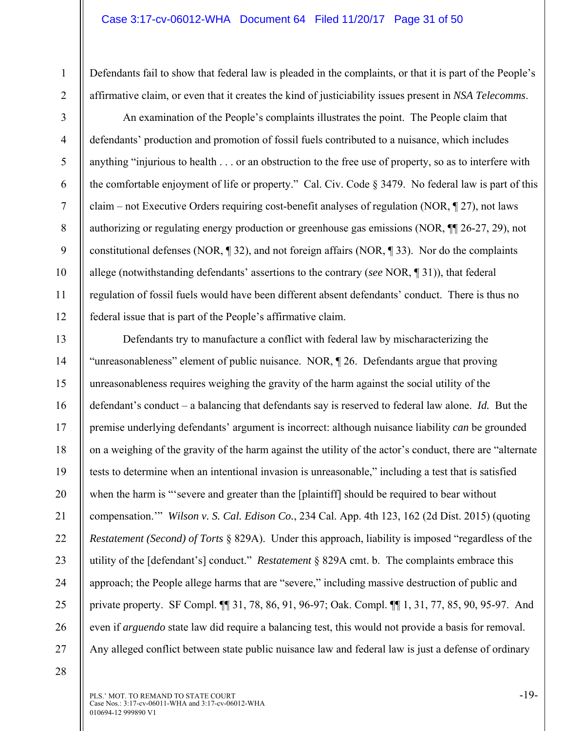Defendants fail to show that federal law is pleaded in the complaints, or that it is part of the People's affirmative claim, or even that it creates the kind of justiciability issues present in *NSA Telecomms*.

2 3

1

4

5

6

7

8

9

10

11

12

An examination of the People's complaints illustrates the point. The People claim that defendants' production and promotion of fossil fuels contributed to a nuisance, which includes anything "injurious to health . . . or an obstruction to the free use of property, so as to interfere with the comfortable enjoyment of life or property." Cal. Civ. Code § 3479. No federal law is part of this claim – not Executive Orders requiring cost-benefit analyses of regulation (NOR, ¶ 27), not laws authorizing or regulating energy production or greenhouse gas emissions (NOR, ¶¶ 26-27, 29), not constitutional defenses (NOR, ¶ 32), and not foreign affairs (NOR, ¶ 33). Nor do the complaints allege (notwithstanding defendants' assertions to the contrary (*see* NOR, ¶ 31)), that federal regulation of fossil fuels would have been different absent defendants' conduct. There is thus no federal issue that is part of the People's affirmative claim.

13 14 15 16 17 18 19 20 21 22 23 24 25 26 27 Defendants try to manufacture a conflict with federal law by mischaracterizing the "unreasonableness" element of public nuisance. NOR, ¶ 26. Defendants argue that proving unreasonableness requires weighing the gravity of the harm against the social utility of the defendant's conduct – a balancing that defendants say is reserved to federal law alone. *Id.* But the premise underlying defendants' argument is incorrect: although nuisance liability *can* be grounded on a weighing of the gravity of the harm against the utility of the actor's conduct, there are "alternate tests to determine when an intentional invasion is unreasonable," including a test that is satisfied when the harm is "severe and greater than the [plaintiff] should be required to bear without compensation.'" *Wilson v. S. Cal. Edison Co.*, 234 Cal. App. 4th 123, 162 (2d Dist. 2015) (quoting *Restatement (Second) of Torts* § 829A). Under this approach, liability is imposed "regardless of the utility of the [defendant's] conduct." *Restatement* § 829A cmt. b. The complaints embrace this approach; the People allege harms that are "severe," including massive destruction of public and private property. SF Compl. ¶¶ 31, 78, 86, 91, 96-97; Oak. Compl. ¶¶ 1, 31, 77, 85, 90, 95-97. And even if *arguendo* state law did require a balancing test, this would not provide a basis for removal. Any alleged conflict between state public nuisance law and federal law is just a defense of ordinary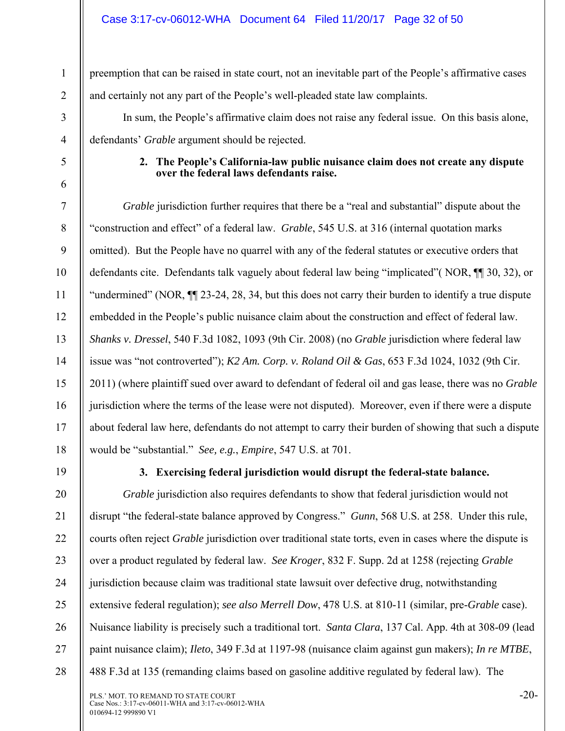preemption that can be raised in state court, not an inevitable part of the People's affirmative cases and certainly not any part of the People's well-pleaded state law complaints.

In sum, the People's affirmative claim does not raise any federal issue. On this basis alone, defendants' *Grable* argument should be rejected.

#### **2. The People's California-law public nuisance claim does not create any dispute over the federal laws defendants raise.**

*Grable* jurisdiction further requires that there be a "real and substantial" dispute about the "construction and effect" of a federal law. *Grable*, 545 U.S. at 316 (internal quotation marks omitted). But the People have no quarrel with any of the federal statutes or executive orders that defendants cite. Defendants talk vaguely about federal law being "implicated"( NOR, ¶¶ 30, 32), or "undermined" (NOR, ¶¶ 23-24, 28, 34, but this does not carry their burden to identify a true dispute embedded in the People's public nuisance claim about the construction and effect of federal law. *Shanks v. Dressel*, 540 F.3d 1082, 1093 (9th Cir. 2008) (no *Grable* jurisdiction where federal law issue was "not controverted"); *K2 Am. Corp. v. Roland Oil & Gas*, 653 F.3d 1024, 1032 (9th Cir. 2011) (where plaintiff sued over award to defendant of federal oil and gas lease, there was no *Grable* jurisdiction where the terms of the lease were not disputed). Moreover, even if there were a dispute about federal law here, defendants do not attempt to carry their burden of showing that such a dispute would be "substantial." *See, e.g.*, *Empire*, 547 U.S. at 701.

19

1

2

3

4

5

6

7

8

9

10

11

12

13

14

15

16

17

18

20

21

22

23

24

25

26

27

28

# **3. Exercising federal jurisdiction would disrupt the federal-state balance.**

*Grable* jurisdiction also requires defendants to show that federal jurisdiction would not disrupt "the federal-state balance approved by Congress." *Gunn*, 568 U.S. at 258. Under this rule, courts often reject *Grable* jurisdiction over traditional state torts, even in cases where the dispute is over a product regulated by federal law. *See Kroger*, 832 F. Supp. 2d at 1258 (rejecting *Grable* jurisdiction because claim was traditional state lawsuit over defective drug, notwithstanding extensive federal regulation); *see also Merrell Dow*, 478 U.S. at 810-11 (similar, pre-*Grable* case). Nuisance liability is precisely such a traditional tort. *Santa Clara*, 137 Cal. App. 4th at 308-09 (lead paint nuisance claim); *Ileto*, 349 F.3d at 1197-98 (nuisance claim against gun makers); *In re MTBE*, 488 F.3d at 135 (remanding claims based on gasoline additive regulated by federal law). The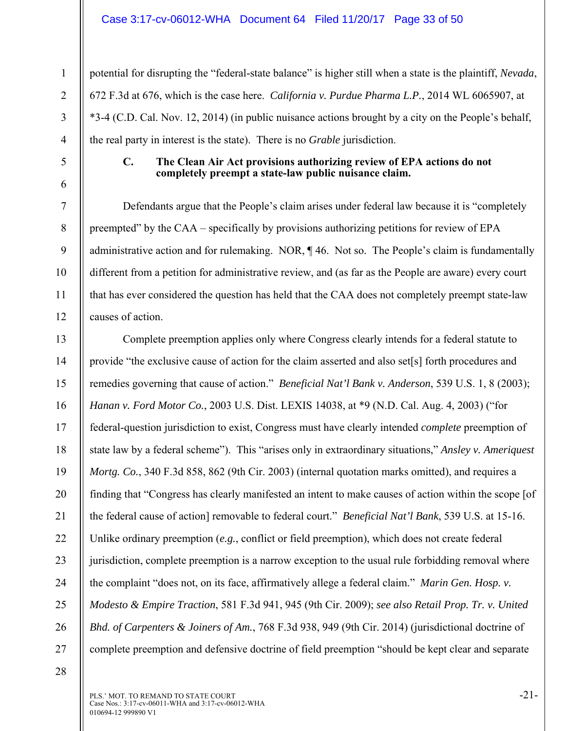#### Case 3:17-cv-06012-WHA Document 64 Filed 11/20/17 Page 33 of 50

potential for disrupting the "federal-state balance" is higher still when a state is the plaintiff, *Nevada*, 672 F.3d at 676, which is the case here. *California v. Purdue Pharma L.P.*, 2014 WL 6065907, at \*3-4 (C.D. Cal. Nov. 12, 2014) (in public nuisance actions brought by a city on the People's behalf, the real party in interest is the state). There is no *Grable* jurisdiction.

1

2

3

4

5

6

7

8

9

10

11

12

#### **C. The Clean Air Act provisions authorizing review of EPA actions do not completely preempt a state-law public nuisance claim.**

Defendants argue that the People's claim arises under federal law because it is "completely preempted" by the CAA – specifically by provisions authorizing petitions for review of EPA administrative action and for rulemaking. NOR, ¶ 46. Not so. The People's claim is fundamentally different from a petition for administrative review, and (as far as the People are aware) every court that has ever considered the question has held that the CAA does not completely preempt state-law causes of action.

13 14 15 16 17 18 19 20 21 22 23 24 25 26 27 Complete preemption applies only where Congress clearly intends for a federal statute to provide "the exclusive cause of action for the claim asserted and also set[s] forth procedures and remedies governing that cause of action." *Beneficial Nat'l Bank v. Anderson*, 539 U.S. 1, 8 (2003); *Hanan v. Ford Motor Co.*, 2003 U.S. Dist. LEXIS 14038, at \*9 (N.D. Cal. Aug. 4, 2003) ("for federal-question jurisdiction to exist, Congress must have clearly intended *complete* preemption of state law by a federal scheme"). This "arises only in extraordinary situations," *Ansley v. Ameriquest Mortg. Co.*, 340 F.3d 858, 862 (9th Cir. 2003) (internal quotation marks omitted), and requires a finding that "Congress has clearly manifested an intent to make causes of action within the scope [of the federal cause of action] removable to federal court." *Beneficial Nat'l Bank*, 539 U.S. at 15-16. Unlike ordinary preemption (*e.g.*, conflict or field preemption), which does not create federal jurisdiction, complete preemption is a narrow exception to the usual rule forbidding removal where the complaint "does not, on its face, affirmatively allege a federal claim." *Marin Gen. Hosp. v. Modesto & Empire Traction*, 581 F.3d 941, 945 (9th Cir. 2009); *see also Retail Prop. Tr. v. United Bhd. of Carpenters & Joiners of Am.*, 768 F.3d 938, 949 (9th Cir. 2014) (jurisdictional doctrine of complete preemption and defensive doctrine of field preemption "should be kept clear and separate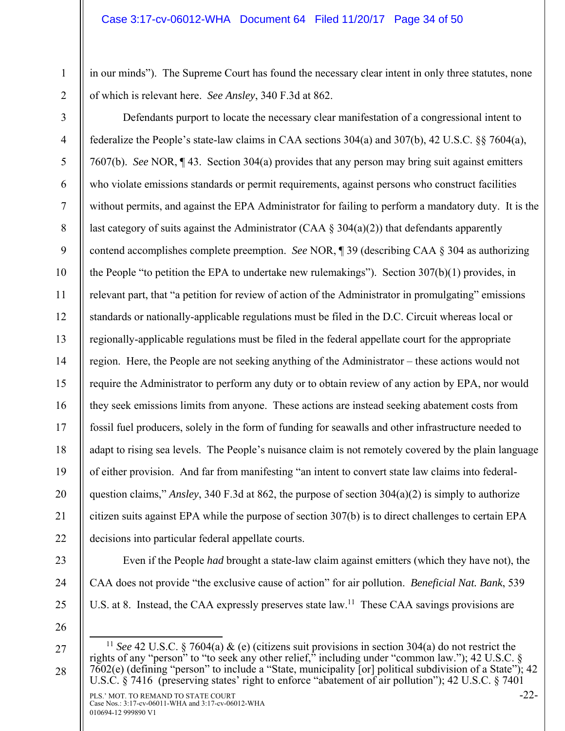in our minds"). The Supreme Court has found the necessary clear intent in only three statutes, none of which is relevant here. *See Ansley*, 340 F.3d at 862.

2

1

3 4 5 6 7 8 9 10 11 12 13 14 15 16 17 18 19 20 21 22 Defendants purport to locate the necessary clear manifestation of a congressional intent to federalize the People's state-law claims in CAA sections 304(a) and 307(b), 42 U.S.C. §§ 7604(a), 7607(b). *See* NOR, ¶ 43. Section 304(a) provides that any person may bring suit against emitters who violate emissions standards or permit requirements, against persons who construct facilities without permits, and against the EPA Administrator for failing to perform a mandatory duty. It is the last category of suits against the Administrator (CAA  $\S$  304(a)(2)) that defendants apparently contend accomplishes complete preemption. *See* NOR, ¶ 39 (describing CAA § 304 as authorizing the People "to petition the EPA to undertake new rulemakings"). Section  $307(b)(1)$  provides, in relevant part, that "a petition for review of action of the Administrator in promulgating" emissions standards or nationally-applicable regulations must be filed in the D.C. Circuit whereas local or regionally-applicable regulations must be filed in the federal appellate court for the appropriate region. Here, the People are not seeking anything of the Administrator – these actions would not require the Administrator to perform any duty or to obtain review of any action by EPA, nor would they seek emissions limits from anyone. These actions are instead seeking abatement costs from fossil fuel producers, solely in the form of funding for seawalls and other infrastructure needed to adapt to rising sea levels. The People's nuisance claim is not remotely covered by the plain language of either provision. And far from manifesting "an intent to convert state law claims into federalquestion claims," *Ansley*, 340 F.3d at 862, the purpose of section 304(a)(2) is simply to authorize citizen suits against EPA while the purpose of section 307(b) is to direct challenges to certain EPA decisions into particular federal appellate courts.

- 23
- 24
- 25
- 26

27

28

CAA does not provide "the exclusive cause of action" for air pollution. *Beneficial Nat. Bank*, 539

U.S. at 8. Instead, the CAA expressly preserves state law.<sup>11</sup> These CAA savings provisions are

Even if the People *had* brought a state-law claim against emitters (which they have not), the

 <sup>11</sup> *See* 42 U.S.C. § 7604(a) & (e) (citizens suit provisions in section 304(a) do not restrict the rights of any "person" to "to seek any other relief," including under "common law."); 42 U.S.C. §  $7602(e)$  (defining "person" to include a "State, municipality [or] political subdivision of a State"); 42 U.S.C. § 7416 (preserving states' right to enforce "abatement of air pollution"); 42 U.S.C. § 7401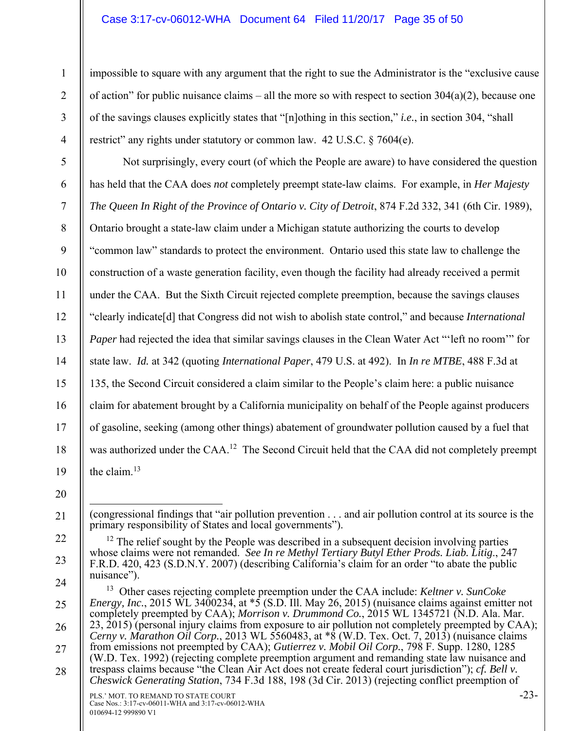#### Case 3:17-cv-06012-WHA Document 64 Filed 11/20/17 Page 35 of 50

impossible to square with any argument that the right to sue the Administrator is the "exclusive cause of action" for public nuisance claims – all the more so with respect to section  $304(a)(2)$ , because one of the savings clauses explicitly states that "[n]othing in this section," *i.e.*, in section 304, "shall restrict" any rights under statutory or common law. 42 U.S.C. § 7604(e).

Not surprisingly, every court (of which the People are aware) to have considered the question has held that the CAA does *not* completely preempt state-law claims. For example, in *Her Majesty The Queen In Right of the Province of Ontario v. City of Detroit*, 874 F.2d 332, 341 (6th Cir. 1989), Ontario brought a state-law claim under a Michigan statute authorizing the courts to develop "common law" standards to protect the environment. Ontario used this state law to challenge the construction of a waste generation facility, even though the facility had already received a permit under the CAA. But the Sixth Circuit rejected complete preemption, because the savings clauses "clearly indicate[d] that Congress did not wish to abolish state control," and because *International Paper* had rejected the idea that similar savings clauses in the Clean Water Act "left no room" for state law. *Id.* at 342 (quoting *International Paper*, 479 U.S. at 492). In *In re MTBE*, 488 F.3d at 135, the Second Circuit considered a claim similar to the People's claim here: a public nuisance claim for abatement brought by a California municipality on behalf of the People against producers of gasoline, seeking (among other things) abatement of groundwater pollution caused by a fuel that was authorized under the CAA.<sup>12</sup> The Second Circuit held that the CAA did not completely preempt the claim.<sup>13</sup>

19 20

21

22

23

1

2

3

4

5

6

7

8

9

10

11

12

13

14

15

16

17

 $\overline{a}$ (congressional findings that "air pollution prevention . . . and air pollution control at its source is the primary responsibility of States and local governments").

 $12$  The relief sought by the People was described in a subsequent decision involving parties whose claims were not remanded. *See In re Methyl Tertiary Butyl Ether Prods. Liab. Litig*., 247 F.R.D. 420, 423 (S.D.N.Y. 2007) (describing California's claim for an order "to abate the public nuisance").

PLS.' MOT. TO REMAND TO STATE COURT 24 25 26 27 28 13 Other cases rejecting complete preemption under the CAA include: *Keltner v. SunCoke Energy, Inc.*, 2015 WL 3400234, at  $\overline{5}$  (S.D. Ill. May 26, 2015) (nuisance claims against emitter not completely preempted by CAA); *Morrison v. Drummond Co.*, 2015 WL 1345721 (N.D. Ala. Mar. 23, 2015) (personal injury claims from exposure to air pollution not completely preempted by CAA); *Cerny v. Marathon Oil Corp.*, 2013 WL 5560483, at \*8 (W.D. Tex. Oct. 7, 2013) (nuisance claims from emissions not preempted by CAA); *Gutierrez v. Mobil Oil Corp.*, 798 F. Supp. 1280, 1285 (W.D. Tex. 1992) (rejecting complete preemption argument and remanding state law nuisance and trespass claims because "the Clean Air Act does not create federal court jurisdiction"); *cf. Bell v. Cheswick Generating Station*, 734 F.3d 188, 198 (3d Cir. 2013) (rejecting conflict preemption of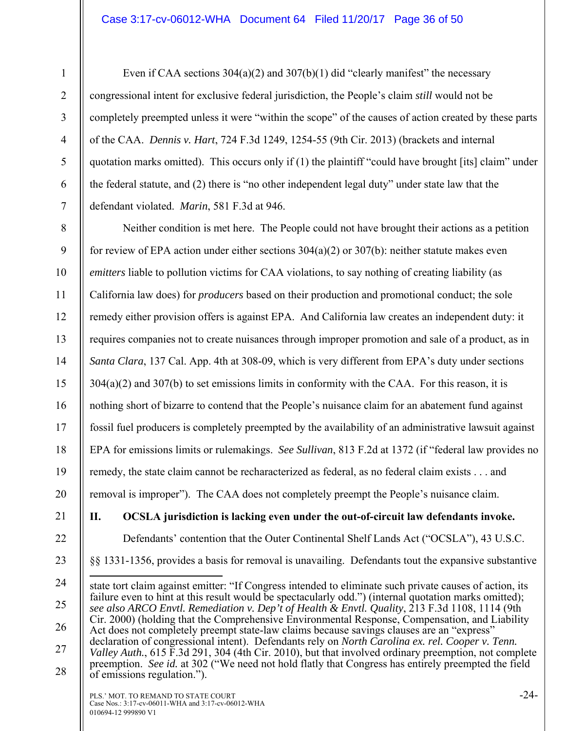#### Case 3:17-cv-06012-WHA Document 64 Filed 11/20/17 Page 36 of 50

Even if CAA sections  $304(a)(2)$  and  $307(b)(1)$  did "clearly manifest" the necessary congressional intent for exclusive federal jurisdiction, the People's claim *still* would not be completely preempted unless it were "within the scope" of the causes of action created by these parts of the CAA. *Dennis v. Hart*, 724 F.3d 1249, 1254-55 (9th Cir. 2013) (brackets and internal quotation marks omitted). This occurs only if (1) the plaintiff "could have brought [its] claim" under the federal statute, and (2) there is "no other independent legal duty" under state law that the defendant violated. *Marin*, 581 F.3d at 946.

8 9 10 11 12 13 14 15 16 17 18 19 20 Neither condition is met here. The People could not have brought their actions as a petition for review of EPA action under either sections  $304(a)(2)$  or  $307(b)$ : neither statute makes even *emitters* liable to pollution victims for CAA violations, to say nothing of creating liability (as California law does) for *producers* based on their production and promotional conduct; the sole remedy either provision offers is against EPA. And California law creates an independent duty: it requires companies not to create nuisances through improper promotion and sale of a product, as in *Santa Clara*, 137 Cal. App. 4th at 308-09, which is very different from EPA's duty under sections 304(a)(2) and 307(b) to set emissions limits in conformity with the CAA. For this reason, it is nothing short of bizarre to contend that the People's nuisance claim for an abatement fund against fossil fuel producers is completely preempted by the availability of an administrative lawsuit against EPA for emissions limits or rulemakings. *See Sullivan*, 813 F.2d at 1372 (if "federal law provides no remedy, the state claim cannot be recharacterized as federal, as no federal claim exists . . . and removal is improper"). The CAA does not completely preempt the People's nuisance claim.

21

22

23

1

2

3

4

5

6

7

**II. OCSLA jurisdiction is lacking even under the out-of-circuit law defendants invoke.** 

Defendants' contention that the Outer Continental Shelf Lands Act ("OCSLA"), 43 U.S.C.

§§ 1331-1356, provides a basis for removal is unavailing. Defendants tout the expansive substantive

<sup>24</sup>  25 26 27 28  $\overline{a}$ state tort claim against emitter: "If Congress intended to eliminate such private causes of action, its failure even to hint at this result would be spectacularly odd.") (internal quotation marks omitted); *see also ARCO Envtl. Remediation v. Dep't of Health & Envtl. Quality*, 213 F.3d 1108, 1114 (9th Cir. 2000) (holding that the Comprehensive Environmental Response, Compensation, and Liability Act does not completely preempt state-law claims because savings clauses are an "express" declaration of congressional intent). Defendants rely on *North Carolina ex. rel. Cooper v. Tenn. Valley Auth.*, 615 F.3d 291, 304 (4th Cir. 2010), but that involved ordinary preemption, not complete preemption. *See id.* at 302 ("We need not hold flatly that Congress has entirely preempted the field of emissions regulation.").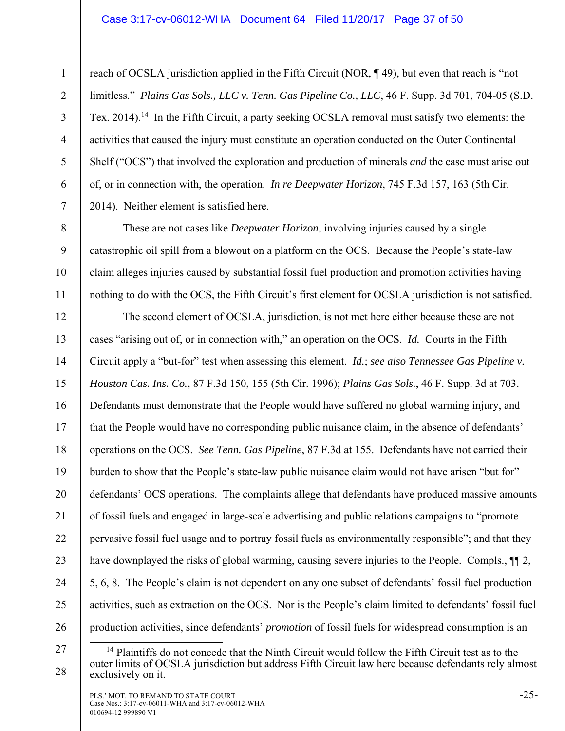#### Case 3:17-cv-06012-WHA Document 64 Filed 11/20/17 Page 37 of 50

reach of OCSLA jurisdiction applied in the Fifth Circuit (NOR, ¶ 49), but even that reach is "not limitless." *Plains Gas Sols., LLC v. Tenn. Gas Pipeline Co., LLC*, 46 F. Supp. 3d 701, 704-05 (S.D. Tex. 2014).<sup>14</sup> In the Fifth Circuit, a party seeking OCSLA removal must satisfy two elements: the activities that caused the injury must constitute an operation conducted on the Outer Continental Shelf ("OCS") that involved the exploration and production of minerals *and* the case must arise out of, or in connection with, the operation. *In re Deepwater Horizon*, 745 F.3d 157, 163 (5th Cir. 2014). Neither element is satisfied here.

These are not cases like *Deepwater Horizon*, involving injuries caused by a single catastrophic oil spill from a blowout on a platform on the OCS. Because the People's state-law claim alleges injuries caused by substantial fossil fuel production and promotion activities having nothing to do with the OCS, the Fifth Circuit's first element for OCSLA jurisdiction is not satisfied.

12 13 14 15 16 17 18 19 20 21 22 23 24 25 26 The second element of OCSLA, jurisdiction, is not met here either because these are not cases "arising out of, or in connection with," an operation on the OCS. *Id.* Courts in the Fifth Circuit apply a "but-for" test when assessing this element. *Id.*; *see also Tennessee Gas Pipeline v. Houston Cas. Ins. Co.*, 87 F.3d 150, 155 (5th Cir. 1996); *Plains Gas Sols.*, 46 F. Supp. 3d at 703. Defendants must demonstrate that the People would have suffered no global warming injury, and that the People would have no corresponding public nuisance claim, in the absence of defendants' operations on the OCS. *See Tenn. Gas Pipeline*, 87 F.3d at 155. Defendants have not carried their burden to show that the People's state-law public nuisance claim would not have arisen "but for" defendants' OCS operations. The complaints allege that defendants have produced massive amounts of fossil fuels and engaged in large-scale advertising and public relations campaigns to "promote pervasive fossil fuel usage and to portray fossil fuels as environmentally responsible"; and that they have downplayed the risks of global warming, causing severe injuries to the People. Compls.,  $\P$ [2, 5, 6, 8. The People's claim is not dependent on any one subset of defendants' fossil fuel production activities, such as extraction on the OCS. Nor is the People's claim limited to defendants' fossil fuel production activities, since defendants' *promotion* of fossil fuels for widespread consumption is an

28

1

2

3

4

5

6

7

8

9

10

<sup>27</sup> 

 $<sup>14</sup>$  Plaintiffs do not concede that the Ninth Circuit would follow the Fifth Circuit test as to the</sup> outer limits of OCSLA jurisdiction but address Fifth Circuit law here because defendants rely almost exclusively on it.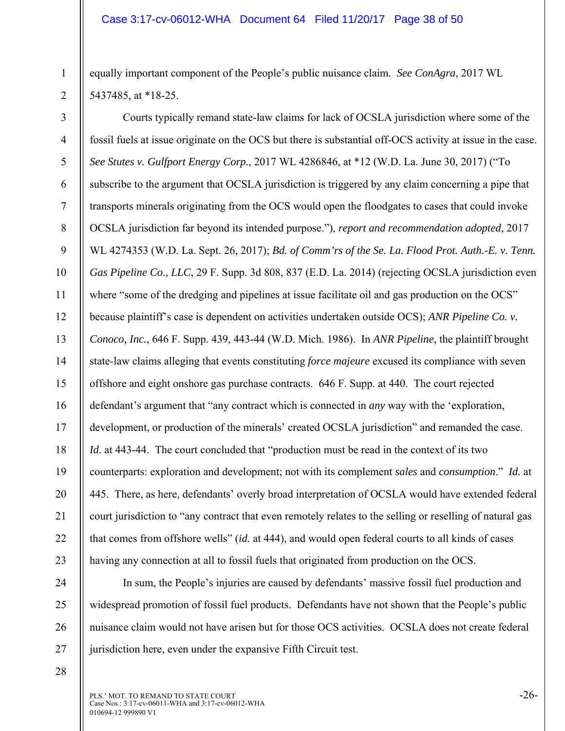equally important component of the People's public nuisance claim. *See ConAgra*, 2017 WL 5437485, at \*18-25.

3 4 5 6 7 8 9 10 11 12 13 14 15 16 17 18 19 20 21 22 23 Courts typically remand state-law claims for lack of OCSLA jurisdiction where some of the fossil fuels at issue originate on the OCS but there is substantial off-OCS activity at issue in the case. *See Stutes v. Gulfport Energy Corp.*, 2017 WL 4286846, at \*12 (W.D. La. June 30, 2017) ("To subscribe to the argument that OCSLA jurisdiction is triggered by any claim concerning a pipe that transports minerals originating from the OCS would open the floodgates to cases that could invoke OCSLA jurisdiction far beyond its intended purpose."), *report and recommendation adopted*, 2017 WL 4274353 (W.D. La. Sept. 26, 2017); *Bd. of Comm'rs of the Se. La. Flood Prot. Auth.-E. v. Tenn. Gas Pipeline Co., LLC*, 29 F. Supp. 3d 808, 837 (E.D. La. 2014) (rejecting OCSLA jurisdiction even where "some of the dredging and pipelines at issue facilitate oil and gas production on the OCS" because plaintiff's case is dependent on activities undertaken outside OCS); *ANR Pipeline Co. v. Conoco, Inc.*, 646 F. Supp. 439, 443-44 (W.D. Mich. 1986). In *ANR Pipeline*, the plaintiff brought state-law claims alleging that events constituting *force majeure* excused its compliance with seven offshore and eight onshore gas purchase contracts. 646 F. Supp. at 440. The court rejected defendant's argument that "any contract which is connected in *any* way with the 'exploration, development, or production of the minerals' created OCSLA jurisdiction" and remanded the case. *Id.* at 443-44. The court concluded that "production must be read in the context of its two counterparts: exploration and development; not with its complement *sales* and *consumption*." *Id.* at 445. There, as here, defendants' overly broad interpretation of OCSLA would have extended federal court jurisdiction to "any contract that even remotely relates to the selling or reselling of natural gas that comes from offshore wells" (*id.* at 444), and would open federal courts to all kinds of cases having any connection at all to fossil fuels that originated from production on the OCS.

In sum, the People's injuries are caused by defendants' massive fossil fuel production and widespread promotion of fossil fuel products. Defendants have not shown that the People's public nuisance claim would not have arisen but for those OCS activities. OCSLA does not create federal jurisdiction here, even under the expansive Fifth Circuit test.

28

24

25

26

27

1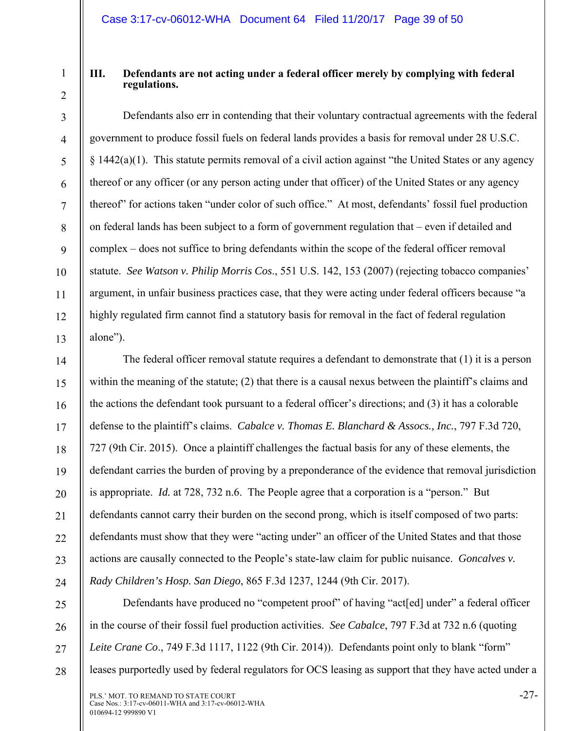2

3

4

5

6

7

8

9

10

11

12

13

14

15

16

17

18

19

20

21

22

23

24

#### **III. Defendants are not acting under a federal officer merely by complying with federal regulations.**

Defendants also err in contending that their voluntary contractual agreements with the federal government to produce fossil fuels on federal lands provides a basis for removal under 28 U.S.C. § 1442(a)(1). This statute permits removal of a civil action against "the United States or any agency thereof or any officer (or any person acting under that officer) of the United States or any agency thereof" for actions taken "under color of such office." At most, defendants' fossil fuel production on federal lands has been subject to a form of government regulation that – even if detailed and complex – does not suffice to bring defendants within the scope of the federal officer removal statute. *See Watson v. Philip Morris Cos*., 551 U.S. 142, 153 (2007) (rejecting tobacco companies' argument, in unfair business practices case, that they were acting under federal officers because "a highly regulated firm cannot find a statutory basis for removal in the fact of federal regulation alone").

The federal officer removal statute requires a defendant to demonstrate that (1) it is a person within the meaning of the statute; (2) that there is a causal nexus between the plaintiff's claims and the actions the defendant took pursuant to a federal officer's directions; and (3) it has a colorable defense to the plaintiff's claims. *Cabalce v. Thomas E. Blanchard & Assocs., Inc.*, 797 F.3d 720, 727 (9th Cir. 2015). Once a plaintiff challenges the factual basis for any of these elements, the defendant carries the burden of proving by a preponderance of the evidence that removal jurisdiction is appropriate. *Id.* at 728, 732 n.6. The People agree that a corporation is a "person." But defendants cannot carry their burden on the second prong, which is itself composed of two parts: defendants must show that they were "acting under" an officer of the United States and that those actions are causally connected to the People's state-law claim for public nuisance. *Goncalves v. Rady Children's Hosp. San Diego*, 865 F.3d 1237, 1244 (9th Cir. 2017).

25 26 27 28 Defendants have produced no "competent proof" of having "act[ed] under" a federal officer in the course of their fossil fuel production activities. *See Cabalce*, 797 F.3d at 732 n.6 (quoting *Leite Crane Co*., 749 F.3d 1117, 1122 (9th Cir. 2014)). Defendants point only to blank "form" leases purportedly used by federal regulators for OCS leasing as support that they have acted under a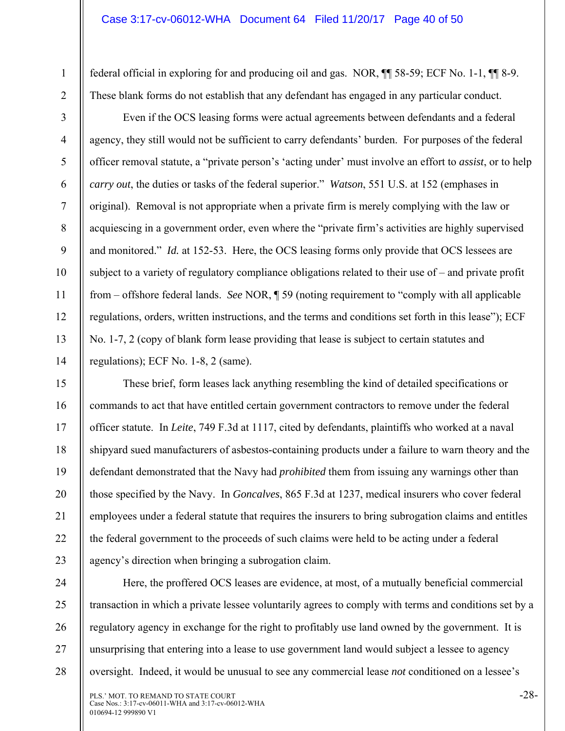federal official in exploring for and producing oil and gas. NOR, ¶¶ 58-59; ECF No. 1-1, ¶¶ 8-9. These blank forms do not establish that any defendant has engaged in any particular conduct.

2 3

1

4

5

6

7

8

9

10

11

12

13

14

Even if the OCS leasing forms were actual agreements between defendants and a federal agency, they still would not be sufficient to carry defendants' burden. For purposes of the federal officer removal statute, a "private person's 'acting under' must involve an effort to *assist*, or to help *carry out*, the duties or tasks of the federal superior." *Watson*, 551 U.S. at 152 (emphases in original). Removal is not appropriate when a private firm is merely complying with the law or acquiescing in a government order, even where the "private firm's activities are highly supervised and monitored." *Id.* at 152-53. Here, the OCS leasing forms only provide that OCS lessees are subject to a variety of regulatory compliance obligations related to their use of – and private profit from – offshore federal lands. *See* NOR, ¶ 59 (noting requirement to "comply with all applicable regulations, orders, written instructions, and the terms and conditions set forth in this lease"); ECF No. 1-7, 2 (copy of blank form lease providing that lease is subject to certain statutes and regulations); ECF No. 1-8, 2 (same).

15 16 17 18 19 20 21 22 23 These brief, form leases lack anything resembling the kind of detailed specifications or commands to act that have entitled certain government contractors to remove under the federal officer statute. In *Leite*, 749 F.3d at 1117, cited by defendants, plaintiffs who worked at a naval shipyard sued manufacturers of asbestos-containing products under a failure to warn theory and the defendant demonstrated that the Navy had *prohibited* them from issuing any warnings other than those specified by the Navy. In *Goncalves*, 865 F.3d at 1237, medical insurers who cover federal employees under a federal statute that requires the insurers to bring subrogation claims and entitles the federal government to the proceeds of such claims were held to be acting under a federal agency's direction when bringing a subrogation claim.

24 25 26 27 28 Here, the proffered OCS leases are evidence, at most, of a mutually beneficial commercial transaction in which a private lessee voluntarily agrees to comply with terms and conditions set by a regulatory agency in exchange for the right to profitably use land owned by the government. It is unsurprising that entering into a lease to use government land would subject a lessee to agency oversight. Indeed, it would be unusual to see any commercial lease *not* conditioned on a lessee's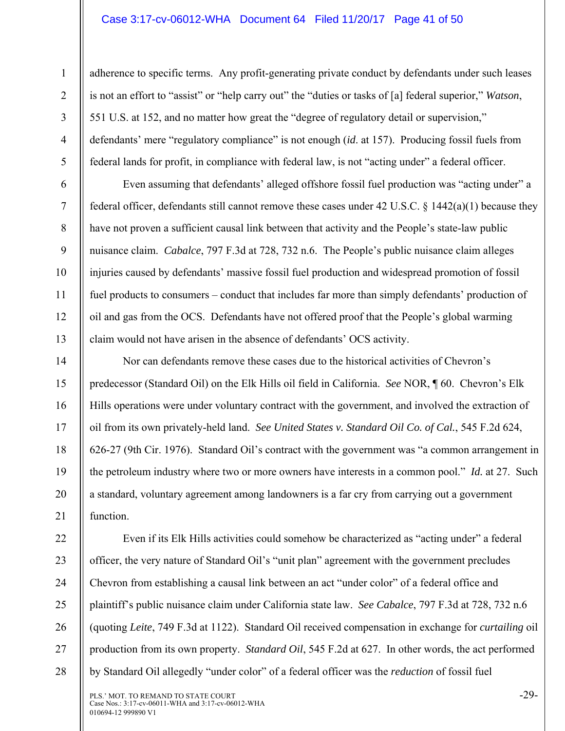#### Case 3:17-cv-06012-WHA Document 64 Filed 11/20/17 Page 41 of 50

1

2

3

4

5

6

7

8

9

10

11

12

13

14

15

16

17

18

19

20

21

adherence to specific terms. Any profit-generating private conduct by defendants under such leases is not an effort to "assist" or "help carry out" the "duties or tasks of [a] federal superior," *Watson*, 551 U.S. at 152, and no matter how great the "degree of regulatory detail or supervision," defendants' mere "regulatory compliance" is not enough (*id*. at 157). Producing fossil fuels from federal lands for profit, in compliance with federal law, is not "acting under" a federal officer.

Even assuming that defendants' alleged offshore fossil fuel production was "acting under" a federal officer, defendants still cannot remove these cases under 42 U.S.C. § 1442(a)(1) because they have not proven a sufficient causal link between that activity and the People's state-law public nuisance claim. *Cabalce*, 797 F.3d at 728, 732 n.6. The People's public nuisance claim alleges injuries caused by defendants' massive fossil fuel production and widespread promotion of fossil fuel products to consumers – conduct that includes far more than simply defendants' production of oil and gas from the OCS. Defendants have not offered proof that the People's global warming claim would not have arisen in the absence of defendants' OCS activity.

Nor can defendants remove these cases due to the historical activities of Chevron's predecessor (Standard Oil) on the Elk Hills oil field in California. *See* NOR, ¶ 60. Chevron's Elk Hills operations were under voluntary contract with the government, and involved the extraction of oil from its own privately-held land. *See United States v. Standard Oil Co. of Cal.*, 545 F.2d 624, 626-27 (9th Cir. 1976). Standard Oil's contract with the government was "a common arrangement in the petroleum industry where two or more owners have interests in a common pool." *Id.* at 27. Such a standard, voluntary agreement among landowners is a far cry from carrying out a government function.

22 23 24 25 26 27 28 Even if its Elk Hills activities could somehow be characterized as "acting under" a federal officer, the very nature of Standard Oil's "unit plan" agreement with the government precludes Chevron from establishing a causal link between an act "under color" of a federal office and plaintiff's public nuisance claim under California state law. *See Cabalce*, 797 F.3d at 728, 732 n.6 (quoting *Leite*, 749 F.3d at 1122). Standard Oil received compensation in exchange for *curtailing* oil production from its own property. *Standard Oil*, 545 F.2d at 627. In other words, the act performed by Standard Oil allegedly "under color" of a federal officer was the *reduction* of fossil fuel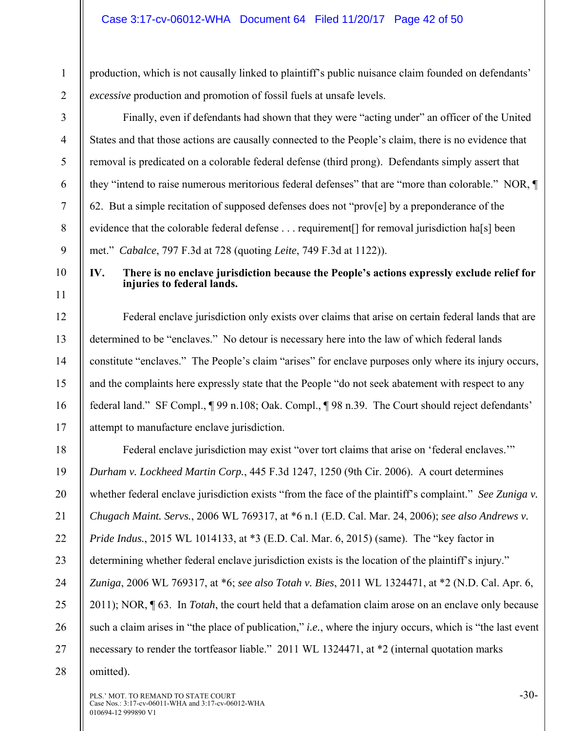- production, which is not causally linked to plaintiff's public nuisance claim founded on defendants' *excessive* production and promotion of fossil fuels at unsafe levels.
- 2 3

5

6

7

8

9

1

Finally, even if defendants had shown that they were "acting under" an officer of the United States and that those actions are causally connected to the People's claim, there is no evidence that removal is predicated on a colorable federal defense (third prong). Defendants simply assert that they "intend to raise numerous meritorious federal defenses" that are "more than colorable." NOR, ¶ 62. But a simple recitation of supposed defenses does not "prov[e] by a preponderance of the evidence that the colorable federal defense . . . requirement<sup>[]</sup> for removal jurisdiction ha<sup>[s]</sup> been met." *Cabalce*, 797 F.3d at 728 (quoting *Leite*, 749 F.3d at 1122)).

10 11

12

13

14

15

16

17

#### **IV. There is no enclave jurisdiction because the People's actions expressly exclude relief for injuries to federal lands.**

Federal enclave jurisdiction only exists over claims that arise on certain federal lands that are determined to be "enclaves." No detour is necessary here into the law of which federal lands constitute "enclaves." The People's claim "arises" for enclave purposes only where its injury occurs, and the complaints here expressly state that the People "do not seek abatement with respect to any federal land." SF Compl., ¶ 99 n.108; Oak. Compl., ¶ 98 n.39. The Court should reject defendants' attempt to manufacture enclave jurisdiction.

18 19 20 21 22 23 24 25 26 27 Federal enclave jurisdiction may exist "over tort claims that arise on 'federal enclaves."" *Durham v. Lockheed Martin Corp.*, 445 F.3d 1247, 1250 (9th Cir. 2006). A court determines whether federal enclave jurisdiction exists "from the face of the plaintiff's complaint." *See Zuniga v. Chugach Maint. Servs.*, 2006 WL 769317, at \*6 n.1 (E.D. Cal. Mar. 24, 2006); *see also Andrews v. Pride Indus.*, 2015 WL 1014133, at \*3 (E.D. Cal. Mar. 6, 2015) (same). The "key factor in determining whether federal enclave jurisdiction exists is the location of the plaintiff's injury." *Zuniga*, 2006 WL 769317, at \*6; *see also Totah v. Bies*, 2011 WL 1324471, at \*2 (N.D. Cal. Apr. 6, 2011); NOR, ¶ 63. In *Totah*, the court held that a defamation claim arose on an enclave only because such a claim arises in "the place of publication," *i.e.*, where the injury occurs, which is "the last event" necessary to render the tortfeasor liable." 2011 WL 1324471, at  $*2$  (internal quotation marks

28 omitted).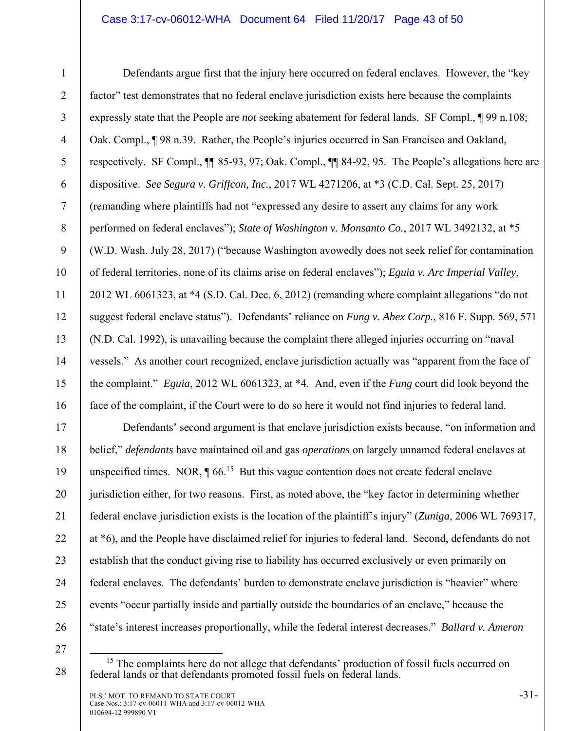#### Case 3:17-cv-06012-WHA Document 64 Filed 11/20/17 Page 43 of 50

2 3

4

5

6

7

8

9

10

11

12

13

14

15

16

17

18

19

20

21

22

23

24

25

26

1

Defendants argue first that the injury here occurred on federal enclaves. However, the "key factor" test demonstrates that no federal enclave jurisdiction exists here because the complaints expressly state that the People are *not* seeking abatement for federal lands. SF Compl., ¶ 99 n.108; Oak. Compl., ¶ 98 n.39. Rather, the People's injuries occurred in San Francisco and Oakland, respectively. SF Compl., ¶¶ 85-93, 97; Oak. Compl., ¶¶ 84-92, 95. The People's allegations here are dispositive. *See Segura v. Griffcon, Inc.*, 2017 WL 4271206, at \*3 (C.D. Cal. Sept. 25, 2017) (remanding where plaintiffs had not "expressed any desire to assert any claims for any work performed on federal enclaves"); *State of Washington v. Monsanto Co.*, 2017 WL 3492132, at \*5 (W.D. Wash. July 28, 2017) ("because Washington avowedly does not seek relief for contamination of federal territories, none of its claims arise on federal enclaves"); *Eguia v. Arc Imperial Valley*, 2012 WL 6061323, at \*4 (S.D. Cal. Dec. 6, 2012) (remanding where complaint allegations "do not suggest federal enclave status"). Defendants' reliance on *Fung v. Abex Corp.*, 816 F. Supp. 569, 571 (N.D. Cal. 1992), is unavailing because the complaint there alleged injuries occurring on "naval vessels." As another court recognized, enclave jurisdiction actually was "apparent from the face of the complaint." *Eguia*, 2012 WL 6061323, at \*4. And, even if the *Fung* court did look beyond the face of the complaint, if the Court were to do so here it would not find injuries to federal land.

Defendants' second argument is that enclave jurisdiction exists because, "on information and belief," *defendants* have maintained oil and gas *operations* on largely unnamed federal enclaves at unspecified times. NOR,  $\P 66$ <sup>15</sup> But this vague contention does not create federal enclave jurisdiction either, for two reasons. First, as noted above, the "key factor in determining whether federal enclave jurisdiction exists is the location of the plaintiff's injury" (*Zuniga*, 2006 WL 769317, at \*6), and the People have disclaimed relief for injuries to federal land. Second, defendants do not establish that the conduct giving rise to liability has occurred exclusively or even primarily on federal enclaves. The defendants' burden to demonstrate enclave jurisdiction is "heavier" where events "occur partially inside and partially outside the boundaries of an enclave," because the "state's interest increases proportionally, while the federal interest decreases." *Ballard v. Ameron* 

27

<sup>&</sup>lt;sup>15</sup> The complaints here do not allege that defendants' production of fossil fuels occurred on federal lands or that defendants promoted fossil fuels on federal lands.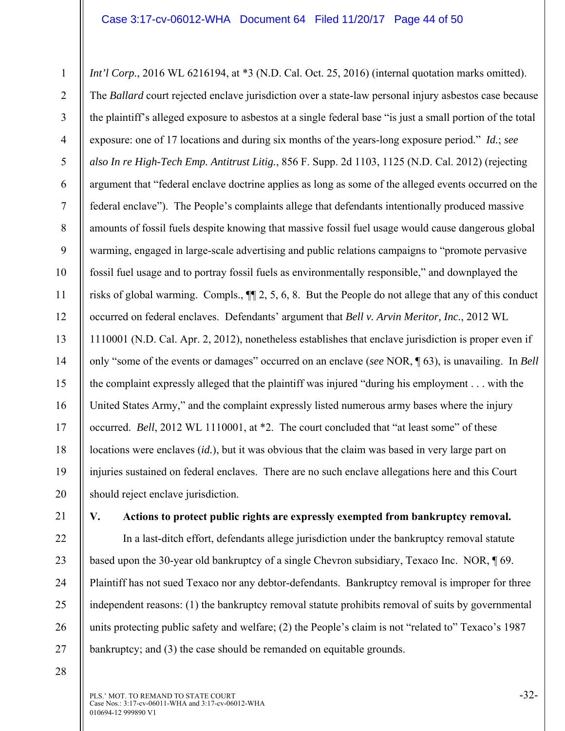1 2 3 4 5 6 7 8 9 10 11 12 13 14 15 16 17 18 19 20 *Int'l Corp.*, 2016 WL 6216194, at \*3 (N.D. Cal. Oct. 25, 2016) (internal quotation marks omitted). The *Ballard* court rejected enclave jurisdiction over a state-law personal injury asbestos case because the plaintiff's alleged exposure to asbestos at a single federal base "is just a small portion of the total exposure: one of 17 locations and during six months of the years-long exposure period." *Id.*; *see also In re High-Tech Emp. Antitrust Litig.*, 856 F. Supp. 2d 1103, 1125 (N.D. Cal. 2012) (rejecting argument that "federal enclave doctrine applies as long as some of the alleged events occurred on the federal enclave"). The People's complaints allege that defendants intentionally produced massive amounts of fossil fuels despite knowing that massive fossil fuel usage would cause dangerous global warming, engaged in large-scale advertising and public relations campaigns to "promote pervasive fossil fuel usage and to portray fossil fuels as environmentally responsible," and downplayed the risks of global warming. Compls., ¶¶ 2, 5, 6, 8. But the People do not allege that any of this conduct occurred on federal enclaves. Defendants' argument that *Bell v. Arvin Meritor, Inc.*, 2012 WL 1110001 (N.D. Cal. Apr. 2, 2012), nonetheless establishes that enclave jurisdiction is proper even if only "some of the events or damages" occurred on an enclave (*see* NOR, ¶ 63), is unavailing. In *Bell*  the complaint expressly alleged that the plaintiff was injured "during his employment . . . with the United States Army," and the complaint expressly listed numerous army bases where the injury occurred. *Bell*, 2012 WL 1110001, at \*2. The court concluded that "at least some" of these locations were enclaves (*id.*), but it was obvious that the claim was based in very large part on injuries sustained on federal enclaves. There are no such enclave allegations here and this Court should reject enclave jurisdiction.

21

22

23

24

25

26

27

#### **V. Actions to protect public rights are expressly exempted from bankruptcy removal.**

In a last-ditch effort, defendants allege jurisdiction under the bankruptcy removal statute based upon the 30-year old bankruptcy of a single Chevron subsidiary, Texaco Inc. NOR, ¶ 69. Plaintiff has not sued Texaco nor any debtor-defendants. Bankruptcy removal is improper for three independent reasons: (1) the bankruptcy removal statute prohibits removal of suits by governmental units protecting public safety and welfare; (2) the People's claim is not "related to" Texaco's 1987 bankruptcy; and (3) the case should be remanded on equitable grounds.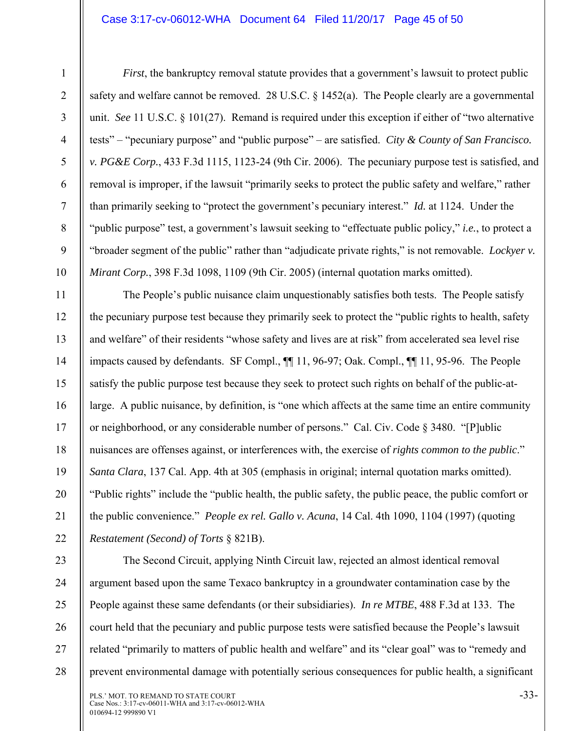#### Case 3:17-cv-06012-WHA Document 64 Filed 11/20/17 Page 45 of 50

5

6

7

8

9

10

11

12

13

14

15

16

17

18

19

20

21

22

1

*First*, the bankruptcy removal statute provides that a government's lawsuit to protect public safety and welfare cannot be removed. 28 U.S.C. § 1452(a). The People clearly are a governmental unit. *See* 11 U.S.C. § 101(27). Remand is required under this exception if either of "two alternative tests" – "pecuniary purpose" and "public purpose" – are satisfied. *City & County of San Francisco. v. PG&E Corp.*, 433 F.3d 1115, 1123-24 (9th Cir. 2006). The pecuniary purpose test is satisfied, and removal is improper, if the lawsuit "primarily seeks to protect the public safety and welfare," rather than primarily seeking to "protect the government's pecuniary interest." *Id.* at 1124.Under the "public purpose" test, a government's lawsuit seeking to "effectuate public policy," *i.e.*, to protect a "broader segment of the public" rather than "adjudicate private rights," is not removable. *Lockyer v. Mirant Corp.*, 398 F.3d 1098, 1109 (9th Cir. 2005) (internal quotation marks omitted).

The People's public nuisance claim unquestionably satisfies both tests. The People satisfy the pecuniary purpose test because they primarily seek to protect the "public rights to health, safety and welfare" of their residents "whose safety and lives are at risk" from accelerated sea level rise impacts caused by defendants. SF Compl., ¶¶ 11, 96-97; Oak. Compl., ¶¶ 11, 95-96. The People satisfy the public purpose test because they seek to protect such rights on behalf of the public-atlarge. A public nuisance, by definition, is "one which affects at the same time an entire community or neighborhood, or any considerable number of persons." Cal. Civ. Code § 3480. "[P]ublic nuisances are offenses against, or interferences with, the exercise of *rights common to the public*." *Santa Clara*, 137 Cal. App. 4th at 305 (emphasis in original; internal quotation marks omitted). "Public rights" include the "public health, the public safety, the public peace, the public comfort or the public convenience." *People ex rel. Gallo v. Acuna*, 14 Cal. 4th 1090, 1104 (1997) (quoting *Restatement (Second) of Torts* § 821B).

23 24 25 26 27 28 The Second Circuit, applying Ninth Circuit law, rejected an almost identical removal argument based upon the same Texaco bankruptcy in a groundwater contamination case by the People against these same defendants (or their subsidiaries). *In re MTBE*, 488 F.3d at 133. The court held that the pecuniary and public purpose tests were satisfied because the People's lawsuit related "primarily to matters of public health and welfare" and its "clear goal" was to "remedy and prevent environmental damage with potentially serious consequences for public health, a significant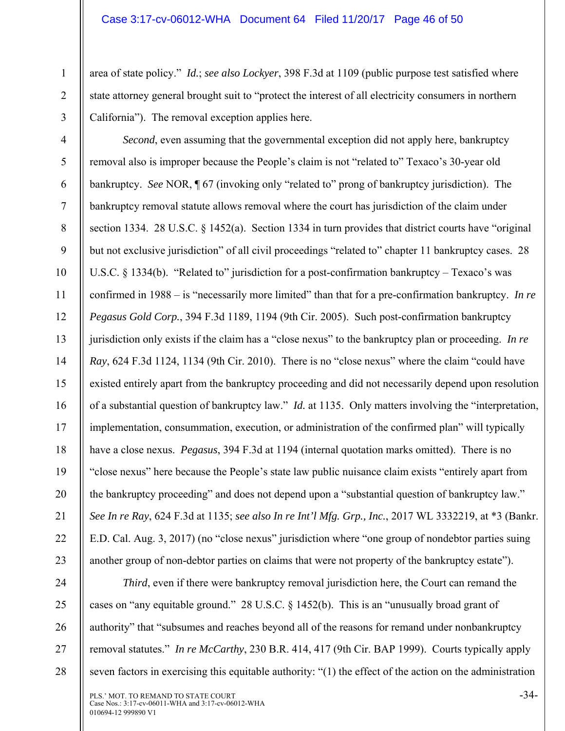2

3

area of state policy." *Id.*; *see also Lockyer*, 398 F.3d at 1109 (public purpose test satisfied where state attorney general brought suit to "protect the interest of all electricity consumers in northern California"). The removal exception applies here.

4 5 6 7 8 9 10 11 12 13 14 15 16 17 18 19 20 21 22 23 *Second*, even assuming that the governmental exception did not apply here, bankruptcy removal also is improper because the People's claim is not "related to" Texaco's 30-year old bankruptcy. *See* NOR, ¶ 67 (invoking only "related to" prong of bankruptcy jurisdiction). The bankruptcy removal statute allows removal where the court has jurisdiction of the claim under section 1334. 28 U.S.C. § 1452(a). Section 1334 in turn provides that district courts have "original but not exclusive jurisdiction" of all civil proceedings "related to" chapter 11 bankruptcy cases. 28 U.S.C. § 1334(b). "Related to" jurisdiction for a post-confirmation bankruptcy – Texaco's was confirmed in 1988 – is "necessarily more limited" than that for a pre-confirmation bankruptcy. *In re Pegasus Gold Corp.*, 394 F.3d 1189, 1194 (9th Cir. 2005). Such post-confirmation bankruptcy jurisdiction only exists if the claim has a "close nexus" to the bankruptcy plan or proceeding. *In re Ray*, 624 F.3d 1124, 1134 (9th Cir. 2010). There is no "close nexus" where the claim "could have existed entirely apart from the bankruptcy proceeding and did not necessarily depend upon resolution of a substantial question of bankruptcy law." *Id.* at 1135. Only matters involving the "interpretation, implementation, consummation, execution, or administration of the confirmed plan" will typically have a close nexus. *Pegasus*, 394 F.3d at 1194 (internal quotation marks omitted). There is no "close nexus" here because the People's state law public nuisance claim exists "entirely apart from the bankruptcy proceeding" and does not depend upon a "substantial question of bankruptcy law." *See In re Ray*, 624 F.3d at 1135; *see also In re Int'l Mfg. Grp., Inc.*, 2017 WL 3332219, at \*3 (Bankr. E.D. Cal. Aug. 3, 2017) (no "close nexus" jurisdiction where "one group of nondebtor parties suing another group of non-debtor parties on claims that were not property of the bankruptcy estate").

24 25 26 27 28 *Third*, even if there were bankruptcy removal jurisdiction here, the Court can remand the cases on "any equitable ground." 28 U.S.C.  $\S$  1452(b). This is an "unusually broad grant of authority" that "subsumes and reaches beyond all of the reasons for remand under nonbankruptcy removal statutes." *In re McCarthy*, 230 B.R. 414, 417 (9th Cir. BAP 1999). Courts typically apply seven factors in exercising this equitable authority: "(1) the effect of the action on the administration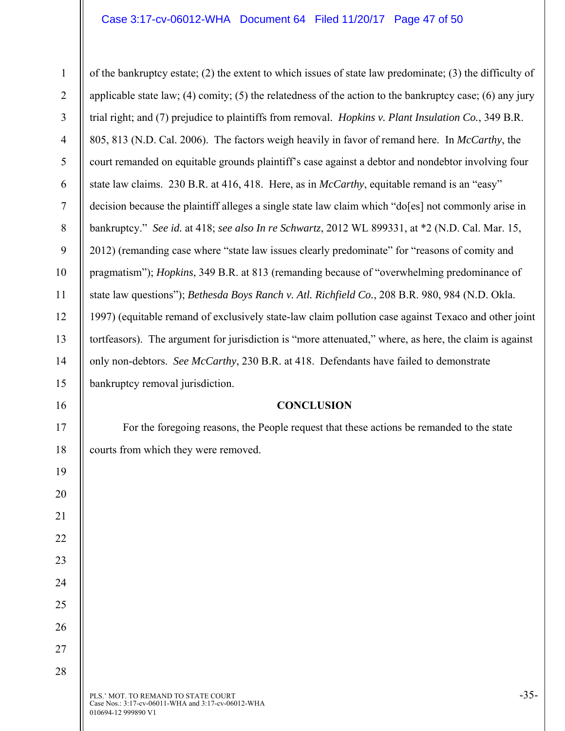#### Case 3:17-cv-06012-WHA Document 64 Filed 11/20/17 Page 47 of 50

1 2 3 4 5 6 7 8 9 10 11 12 13 14 15 16 17 18 19 20 21 22 23 24 25 26 27 of the bankruptcy estate; (2) the extent to which issues of state law predominate; (3) the difficulty of applicable state law; (4) comity; (5) the relatedness of the action to the bankruptcy case; (6) any jury trial right; and (7) prejudice to plaintiffs from removal. *Hopkins v. Plant Insulation Co.*, 349 B.R. 805, 813 (N.D. Cal. 2006). The factors weigh heavily in favor of remand here. In *McCarthy*, the court remanded on equitable grounds plaintiff's case against a debtor and nondebtor involving four state law claims. 230 B.R. at 416, 418. Here, as in *McCarthy*, equitable remand is an "easy" decision because the plaintiff alleges a single state law claim which "do[es] not commonly arise in bankruptcy." *See id.* at 418; *see also In re Schwartz*, 2012 WL 899331, at \*2 (N.D. Cal. Mar. 15, 2012) (remanding case where "state law issues clearly predominate" for "reasons of comity and pragmatism"); *Hopkins*, 349 B.R. at 813 (remanding because of "overwhelming predominance of state law questions"); *Bethesda Boys Ranch v. Atl. Richfield Co.*, 208 B.R. 980, 984 (N.D. Okla. 1997) (equitable remand of exclusively state-law claim pollution case against Texaco and other joint tortfeasors). The argument for jurisdiction is "more attenuated," where, as here, the claim is against only non-debtors. *See McCarthy*, 230 B.R. at 418. Defendants have failed to demonstrate bankruptcy removal jurisdiction. **CONCLUSION**  For the foregoing reasons, the People request that these actions be remanded to the state courts from which they were removed.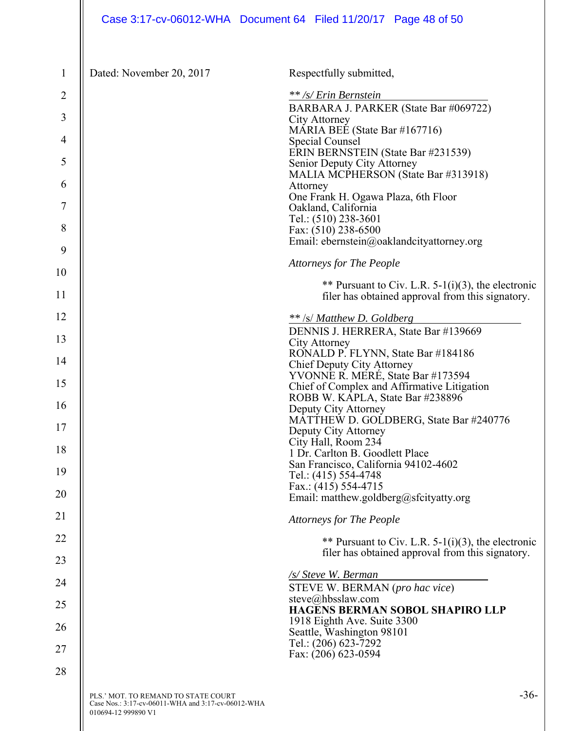| Case 3:17-cv-06012-WHA  Document 64  Filed 11/20/17  Page 48 of 50 |  |  |
|--------------------------------------------------------------------|--|--|
|                                                                    |  |  |

| $\mathbf{1}$   | Dated: November 20, 2017            | Respectfully submitted,                                                                                |
|----------------|-------------------------------------|--------------------------------------------------------------------------------------------------------|
| $\overline{2}$ |                                     | ** /s/ Erin Bernstein                                                                                  |
| 3              |                                     | BARBARA J. PARKER (State Bar #069722)<br>City Attorney                                                 |
| 4              |                                     | MARIA BEE (State Bar #167716)<br>Special Counsel                                                       |
| 5              |                                     | ERIN BERNSTEIN (State Bar #231539)                                                                     |
|                |                                     | Senior Deputy City Attorney<br>MALIA MCPHERSON (State Bar #313918)                                     |
| 6              |                                     | Attorney<br>One Frank H. Ogawa Plaza, 6th Floor                                                        |
| 7              |                                     | Oakland, California<br>Tel.: (510) 238-3601                                                            |
| 8              |                                     | Fax: (510) 238-6500                                                                                    |
| 9              |                                     | Email: ebernstein@oaklandcityattorney.org                                                              |
| 10             |                                     | <b>Attorneys for The People</b>                                                                        |
| 11             |                                     | ** Pursuant to Civ. L.R. 5-1(i)(3), the electronic<br>filer has obtained approval from this signatory. |
| 12             |                                     |                                                                                                        |
|                |                                     | ** /s/ Matthew D. Goldberg<br>DENNIS J. HERRERA, State Bar #139669                                     |
| 13             |                                     | City Attorney<br>RONALD P. FLYNN, State Bar #184186                                                    |
| 14             |                                     | Chief Deputy City Attorney<br>YVONNE R. MERÉ, State Bar #173594                                        |
| 15             |                                     | Chief of Complex and Affirmative Litigation                                                            |
| 16             |                                     | ROBB W. KAPLA, State Bar #238896<br>Deputy City Attorney                                               |
| 17             |                                     | MATTHEW D. GOLDBERG, State Bar #240776<br>Deputy City Attorney                                         |
| 18             |                                     | City Hall, Room 234<br>1 Dr. Carlton B. Goodlett Place                                                 |
| 19             |                                     | San Francisco, California 94102-4602                                                                   |
|                |                                     | Tel.: (415) 554-4748<br>Fax.: $(415)$ 554-4715                                                         |
| 20             |                                     | Email: matthew.goldberg@sfcityatty.org                                                                 |
| 21             |                                     | <b>Attorneys for The People</b>                                                                        |
| 22             |                                     | ** Pursuant to Civ. L.R. $5-1(i)(3)$ , the electronic                                                  |
| 23             |                                     | filer has obtained approval from this signatory.                                                       |
| 24             |                                     | /s/ Steve W. Berman<br>STEVE W. BERMAN (pro hac vice)                                                  |
| 25             |                                     | steve@hbsslaw.com                                                                                      |
| 26             |                                     | HAGENS BERMAN SOBOL SHAPIRO LLP<br>1918 Eighth Ave. Suite 3300                                         |
|                |                                     | Seattle, Washington 98101<br>Tel.: (206) 623-7292                                                      |
| 27             |                                     | Fax: (206) 623-0594                                                                                    |
| 28             |                                     |                                                                                                        |
|                | PLS.' MOT. TO REMAND TO STATE COURT | $-36-$                                                                                                 |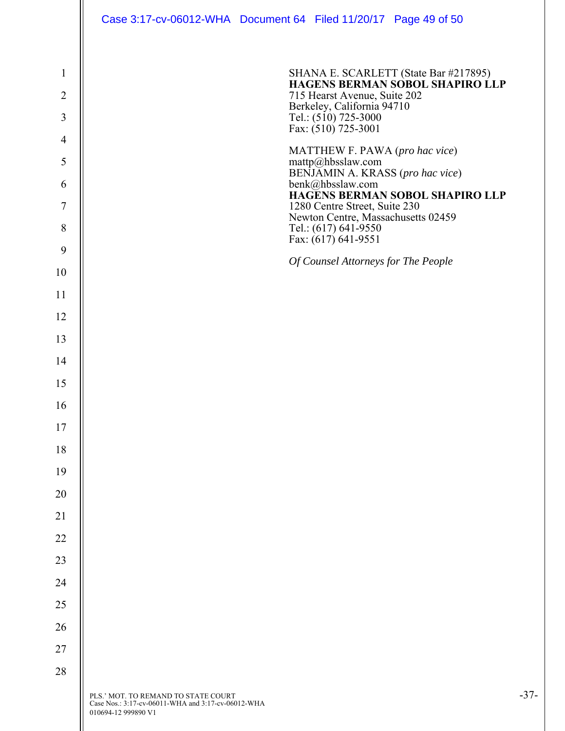|                                | Case 3:17-cv-06012-WHA Document 64 Filed 11/20/17 Page 49 of 50                                                  |                                                            |                                                                                 |        |
|--------------------------------|------------------------------------------------------------------------------------------------------------------|------------------------------------------------------------|---------------------------------------------------------------------------------|--------|
| $\mathbf{1}$<br>$\overline{2}$ |                                                                                                                  | 715 Hearst Avenue, Suite 202                               | SHANA E. SCARLETT (State Bar #217895)<br><b>HAGENS BERMAN SOBOL SHAPIRO LLP</b> |        |
| 3                              |                                                                                                                  | Berkeley, California 94710<br>Tel.: $(5\dot{1}0)$ 725-3000 |                                                                                 |        |
| $\overline{4}$                 |                                                                                                                  | Fax: (510) 725-3001                                        |                                                                                 |        |
| 5                              |                                                                                                                  | mattp@hbsslaw.com                                          | MATTHEW F. PAWA (pro hac vice)<br>BENJAMIN A. KRASS (pro hac vice)              |        |
| 6                              |                                                                                                                  | benk@hbsslaw.com                                           | HAGENS BERMAN SOBOL SHAPIRO LLP                                                 |        |
| $\overline{7}$                 |                                                                                                                  | 1280 Centre Street, Suite 230                              | Newton Centre, Massachusetts 02459                                              |        |
| 8                              |                                                                                                                  | Tel.: (617) 641-9550<br>Fax: (617) 641-9551                |                                                                                 |        |
| 9                              |                                                                                                                  |                                                            | Of Counsel Attorneys for The People                                             |        |
| 10<br>11                       |                                                                                                                  |                                                            |                                                                                 |        |
| 12                             |                                                                                                                  |                                                            |                                                                                 |        |
| 13                             |                                                                                                                  |                                                            |                                                                                 |        |
| 14                             |                                                                                                                  |                                                            |                                                                                 |        |
| 15                             |                                                                                                                  |                                                            |                                                                                 |        |
| 16                             |                                                                                                                  |                                                            |                                                                                 |        |
| 17                             |                                                                                                                  |                                                            |                                                                                 |        |
| 18                             |                                                                                                                  |                                                            |                                                                                 |        |
| 19                             |                                                                                                                  |                                                            |                                                                                 |        |
| 20                             |                                                                                                                  |                                                            |                                                                                 |        |
| 21                             |                                                                                                                  |                                                            |                                                                                 |        |
| 22                             |                                                                                                                  |                                                            |                                                                                 |        |
| 23                             |                                                                                                                  |                                                            |                                                                                 |        |
| 24                             |                                                                                                                  |                                                            |                                                                                 |        |
| $25\,$<br>26                   |                                                                                                                  |                                                            |                                                                                 |        |
| 27                             |                                                                                                                  |                                                            |                                                                                 |        |
| 28                             |                                                                                                                  |                                                            |                                                                                 |        |
|                                | PLS.' MOT. TO REMAND TO STATE COURT<br>Case Nos.: 3:17-cv-06011-WHA and 3:17-cv-06012-WHA<br>010694-12 999890 V1 |                                                            |                                                                                 | $-37-$ |